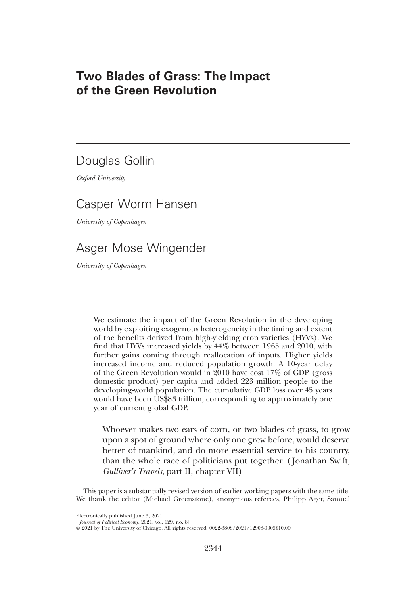# Two Blades of Grass: The Impact of the Green Revolution

# Douglas Gollin

*Oxford University*

# Casper Worm Hansen

*University of Copenhagen*

# Asger Mose Wingender

*University of Copenhagen*

We estimate the impact of the Green Revolution in the developing world by exploiting exogenous heterogeneity in the timing and extent of the benefits derived from high-yielding crop varieties (HYVs). We find that HYVs increased yields by 44% between 1965 and 2010, with further gains coming through reallocation of inputs. Higher yields increased income and reduced population growth. A 10-year delay of the Green Revolution would in 2010 have cost 17% of GDP (gross domestic product) per capita and added 223 million people to the developing-world population. The cumulative GDP loss over 45 years would have been US\$83 trillion, corresponding to approximately one year of current global GDP.

Whoever makes two ears of corn, or two blades of grass, to grow upon a spot of ground where only one grew before, would deserve better of mankind, and do more essential service to his country, than the whole race of politicians put together. ( Jonathan Swift, *Gulliver*'*s Travels*, part II, chapter VII)

This paper is a substantially revised version of earlier working papers with the same title. We thank the editor (Michael Greenstone), anonymous referees, Philipp Ager, Samuel

Electronically published June 3, 2021

[ *Journal of Political Economy*, 2021, vol. 129, no. 8] © 2021 by The University of Chicago. All rights reserved. 0022-3808/2021/12908-0005\$10.00

2344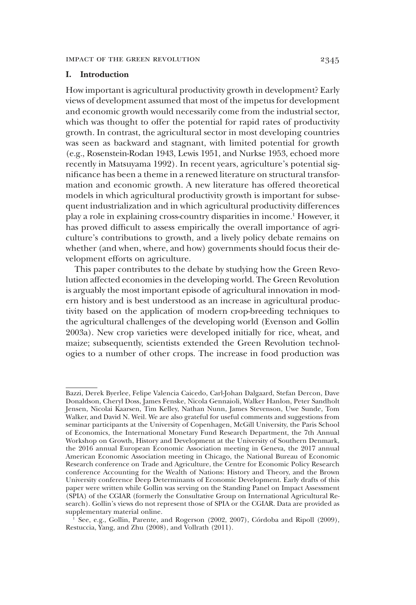# I. Introduction

How important is agricultural productivity growth in development? Early views of development assumed that most of the impetus for development and economic growth would necessarily come from the industrial sector, which was thought to offer the potential for rapid rates of productivity growth. In contrast, the agricultural sector in most developing countries was seen as backward and stagnant, with limited potential for growth (e.g., Rosenstein-Rodan 1943, Lewis 1951, and Nurkse 1953, echoed more recently in Matsuyama 1992). In recent years, agriculture's potential significance has been a theme in a renewed literature on structural transformation and economic growth. A new literature has offered theoretical models in which agricultural productivity growth is important for subsequent industrialization and in which agricultural productivity differences play a role in explaining cross-country disparities in income.<sup>1</sup> However, it has proved difficult to assess empirically the overall importance of agriculture's contributions to growth, and a lively policy debate remains on whether (and when, where, and how) governments should focus their development efforts on agriculture.

This paper contributes to the debate by studying how the Green Revolution affected economies in the developing world. The Green Revolution is arguably the most important episode of agricultural innovation in modern history and is best understood as an increase in agricultural productivity based on the application of modern crop-breeding techniques to the agricultural challenges of the developing world (Evenson and Gollin 2003a). New crop varieties were developed initially for rice, wheat, and maize; subsequently, scientists extended the Green Revolution technologies to a number of other crops. The increase in food production was

Bazzi, Derek Byerlee, Felipe Valencia Caicedo, Carl-Johan Dalgaard, Stefan Dercon, Dave Donaldson, Cheryl Doss, James Fenske, Nicola Gennaioli, Walker Hanlon, Peter Sandholt Jensen, Nicolai Kaarsen, Tim Kelley, Nathan Nunn, James Stevenson, Uwe Sunde, Tom Walker, and David N. Weil. We are also grateful for useful comments and suggestions from seminar participants at the University of Copenhagen, McGill University, the Paris School of Economics, the International Monetary Fund Research Department, the 7th Annual Workshop on Growth, History and Development at the University of Southern Denmark, the 2016 annual European Economic Association meeting in Geneva, the 2017 annual American Economic Association meeting in Chicago, the National Bureau of Economic Research conference on Trade and Agriculture, the Centre for Economic Policy Research conference Accounting for the Wealth of Nations: History and Theory, and the Brown University conference Deep Determinants of Economic Development. Early drafts of this paper were written while Gollin was serving on the Standing Panel on Impact Assessment (SPIA) of the CGIAR (formerly the Consultative Group on International Agricultural Research). Gollin's views do not represent those of SPIA or the CGIAR. Data are provided as supplementary material online.

<sup>1</sup> See, e.g., Gollin, Parente, and Rogerson (2002, 2007), Córdoba and Ripoll (2009), Restuccia, Yang, and Zhu (2008), and Vollrath (2011).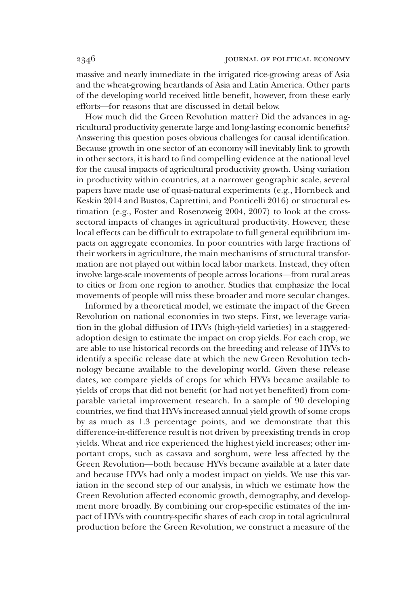massive and nearly immediate in the irrigated rice-growing areas of Asia and the wheat-growing heartlands of Asia and Latin America. Other parts of the developing world received little benefit, however, from these early efforts—for reasons that are discussed in detail below.

How much did the Green Revolution matter? Did the advances in agricultural productivity generate large and long-lasting economic benefits? Answering this question poses obvious challenges for causal identification. Because growth in one sector of an economy will inevitably link to growth in other sectors, it is hard to find compelling evidence at the national level for the causal impacts of agricultural productivity growth. Using variation in productivity within countries, at a narrower geographic scale, several papers have made use of quasi-natural experiments (e.g., Hornbeck and Keskin 2014 and Bustos, Caprettini, and Ponticelli 2016) or structural estimation (e.g., Foster and Rosenzweig 2004, 2007) to look at the crosssectoral impacts of changes in agricultural productivity. However, these local effects can be difficult to extrapolate to full general equilibrium impacts on aggregate economies. In poor countries with large fractions of their workers in agriculture, the main mechanisms of structural transformation are not played out within local labor markets. Instead, they often involve large-scale movements of people across locations—from rural areas to cities or from one region to another. Studies that emphasize the local movements of people will miss these broader and more secular changes.

Informed by a theoretical model, we estimate the impact of the Green Revolution on national economies in two steps. First, we leverage variation in the global diffusion of HYVs (high-yield varieties) in a staggeredadoption design to estimate the impact on crop yields. For each crop, we are able to use historical records on the breeding and release of HYVs to identify a specific release date at which the new Green Revolution technology became available to the developing world. Given these release dates, we compare yields of crops for which HYVs became available to yields of crops that did not benefit (or had not yet benefited) from comparable varietal improvement research. In a sample of 90 developing countries, we find that HYVs increased annual yield growth of some crops by as much as 1.3 percentage points, and we demonstrate that this difference-in-difference result is not driven by preexisting trends in crop yields. Wheat and rice experienced the highest yield increases; other important crops, such as cassava and sorghum, were less affected by the Green Revolution—both because HYVs became available at a later date and because HYVs had only a modest impact on yields. We use this variation in the second step of our analysis, in which we estimate how the Green Revolution affected economic growth, demography, and development more broadly. By combining our crop-specific estimates of the impact of HYVs with country-specific shares of each crop in total agricultural production before the Green Revolution, we construct a measure of the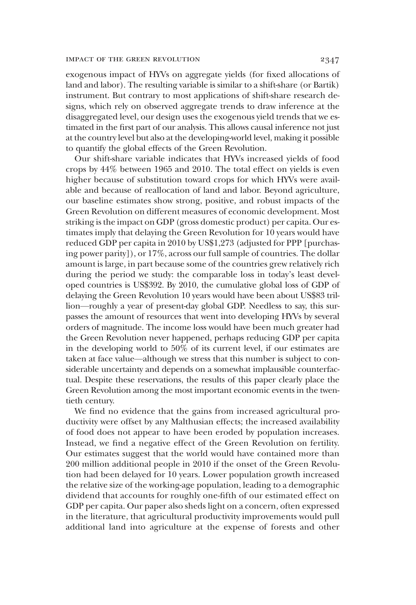exogenous impact of HYVs on aggregate yields (for fixed allocations of land and labor). The resulting variable is similar to a shift-share (or Bartik) instrument. But contrary to most applications of shift-share research designs, which rely on observed aggregate trends to draw inference at the disaggregated level, our design uses the exogenous yield trends that we estimated in the first part of our analysis. This allows causal inference not just at the country level but also at the developing-world level, making it possible to quantify the global effects of the Green Revolution.

Our shift-share variable indicates that HYVs increased yields of food crops by 44% between 1965 and 2010. The total effect on yields is even higher because of substitution toward crops for which HYVs were available and because of reallocation of land and labor. Beyond agriculture, our baseline estimates show strong, positive, and robust impacts of the Green Revolution on different measures of economic development. Most striking is the impact on GDP (gross domestic product) per capita. Our estimates imply that delaying the Green Revolution for 10 years would have reduced GDP per capita in 2010 by US\$1,273 (adjusted for PPP [purchasing power parity]), or 17%, across our full sample of countries. The dollar amount is large, in part because some of the countries grew relatively rich during the period we study: the comparable loss in today's least developed countries is US\$392. By 2010, the cumulative global loss of GDP of delaying the Green Revolution 10 years would have been about US\$83 trillion—roughly a year of present-day global GDP. Needless to say, this surpasses the amount of resources that went into developing HYVs by several orders of magnitude. The income loss would have been much greater had the Green Revolution never happened, perhaps reducing GDP per capita in the developing world to 50% of its current level, if our estimates are taken at face value—although we stress that this number is subject to considerable uncertainty and depends on a somewhat implausible counterfactual. Despite these reservations, the results of this paper clearly place the Green Revolution among the most important economic events in the twentieth century.

We find no evidence that the gains from increased agricultural productivity were offset by any Malthusian effects; the increased availability of food does not appear to have been eroded by population increases. Instead, we find a negative effect of the Green Revolution on fertility. Our estimates suggest that the world would have contained more than 200 million additional people in 2010 if the onset of the Green Revolution had been delayed for 10 years. Lower population growth increased the relative size of the working-age population, leading to a demographic dividend that accounts for roughly one-fifth of our estimated effect on GDP per capita. Our paper also sheds light on a concern, often expressed in the literature, that agricultural productivity improvements would pull additional land into agriculture at the expense of forests and other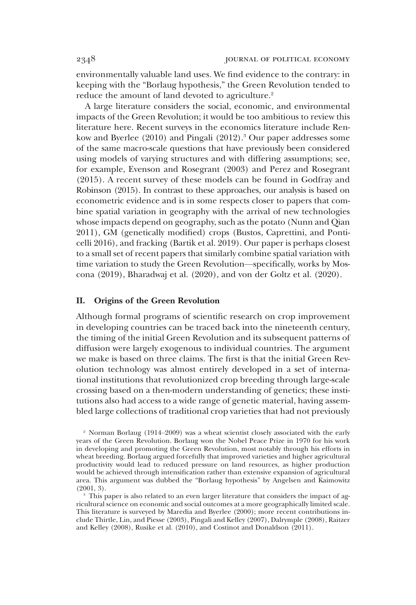environmentally valuable land uses. We find evidence to the contrary: in keeping with the "Borlaug hypothesis," the Green Revolution tended to reduce the amount of land devoted to agriculture.<sup>2</sup>

A large literature considers the social, economic, and environmental impacts of the Green Revolution; it would be too ambitious to review this literature here. Recent surveys in the economics literature include Renkow and Byerlee (2010) and Pingali (2012).<sup>3</sup> Our paper addresses some of the same macro-scale questions that have previously been considered using models of varying structures and with differing assumptions; see, for example, Evenson and Rosegrant (2003) and Perez and Rosegrant (2015). A recent survey of these models can be found in Godfray and Robinson (2015). In contrast to these approaches, our analysis is based on econometric evidence and is in some respects closer to papers that combine spatial variation in geography with the arrival of new technologies whose impacts depend on geography, such as the potato (Nunn and Qian 2011), GM (genetically modified) crops (Bustos, Caprettini, and Ponticelli 2016), and fracking (Bartik et al. 2019). Our paper is perhaps closest to a small set of recent papers that similarly combine spatial variation with time variation to study the Green Revolution—specifically, works by Moscona (2019), Bharadwaj et al. (2020), and von der Goltz et al. (2020).

#### II. Origins of the Green Revolution

Although formal programs of scientific research on crop improvement in developing countries can be traced back into the nineteenth century, the timing of the initial Green Revolution and its subsequent patterns of diffusion were largely exogenous to individual countries. The argument we make is based on three claims. The first is that the initial Green Revolution technology was almost entirely developed in a set of international institutions that revolutionized crop breeding through large-scale crossing based on a then-modern understanding of genetics; these institutions also had access to a wide range of genetic material, having assembled large collections of traditional crop varieties that had not previously

<sup>2</sup> Norman Borlaug (1914–2009) was a wheat scientist closely associated with the early years of the Green Revolution. Borlaug won the Nobel Peace Prize in 1970 for his work in developing and promoting the Green Revolution, most notably through his efforts in wheat breeding. Borlaug argued forcefully that improved varieties and higher agricultural productivity would lead to reduced pressure on land resources, as higher production would be achieved through intensification rather than extensive expansion of agricultural area. This argument was dubbed the "Borlaug hypothesis" by Angelsen and Kaimowitz (2001, 3).

This paper is also related to an even larger literature that considers the impact of agricultural science on economic and social outcomes at a more geographically limited scale. This literature is surveyed by Maredia and Byerlee (2000); more recent contributions include Thirtle, Lin, and Piesse (2003), Pingali and Kelley (2007), Dalrymple (2008), Raitzer and Kelley (2008), Rusike et al. (2010), and Costinot and Donaldson (2011).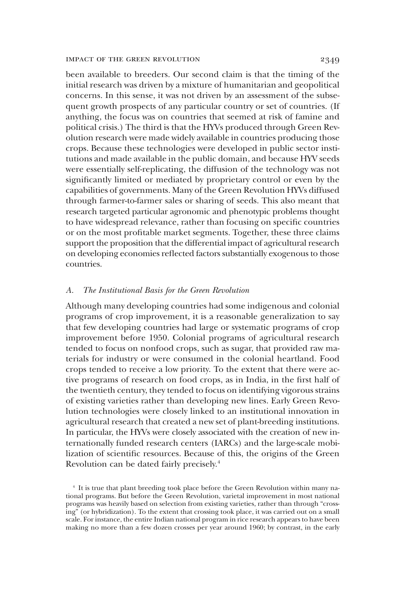been available to breeders. Our second claim is that the timing of the initial research was driven by a mixture of humanitarian and geopolitical concerns. In this sense, it was not driven by an assessment of the subsequent growth prospects of any particular country or set of countries. (If anything, the focus was on countries that seemed at risk of famine and political crisis.) The third is that the HYVs produced through Green Revolution research were made widely available in countries producing those crops. Because these technologies were developed in public sector institutions and made available in the public domain, and because HYV seeds were essentially self-replicating, the diffusion of the technology was not significantly limited or mediated by proprietary control or even by the capabilities of governments. Many of the Green Revolution HYVs diffused through farmer-to-farmer sales or sharing of seeds. This also meant that research targeted particular agronomic and phenotypic problems thought to have widespread relevance, rather than focusing on specific countries or on the most profitable market segments. Together, these three claims support the proposition that the differential impact of agricultural research on developing economies reflected factors substantially exogenous to those countries.

#### *A. The Institutional Basis for the Green Revolution*

Although many developing countries had some indigenous and colonial programs of crop improvement, it is a reasonable generalization to say that few developing countries had large or systematic programs of crop improvement before 1950. Colonial programs of agricultural research tended to focus on nonfood crops, such as sugar, that provided raw materials for industry or were consumed in the colonial heartland. Food crops tended to receive a low priority. To the extent that there were active programs of research on food crops, as in India, in the first half of the twentieth century, they tended to focus on identifying vigorous strains of existing varieties rather than developing new lines. Early Green Revolution technologies were closely linked to an institutional innovation in agricultural research that created a new set of plant-breeding institutions. In particular, the HYVs were closely associated with the creation of new internationally funded research centers (IARCs) and the large-scale mobilization of scientific resources. Because of this, the origins of the Green Revolution can be dated fairly precisely.<sup>4</sup>

<sup>4</sup> It is true that plant breeding took place before the Green Revolution within many national programs. But before the Green Revolution, varietal improvement in most national programs was heavily based on selection from existing varieties, rather than through "crossing" (or hybridization). To the extent that crossing took place, it was carried out on a small scale. For instance, the entire Indian national program in rice research appears to have been making no more than a few dozen crosses per year around 1960; by contrast, in the early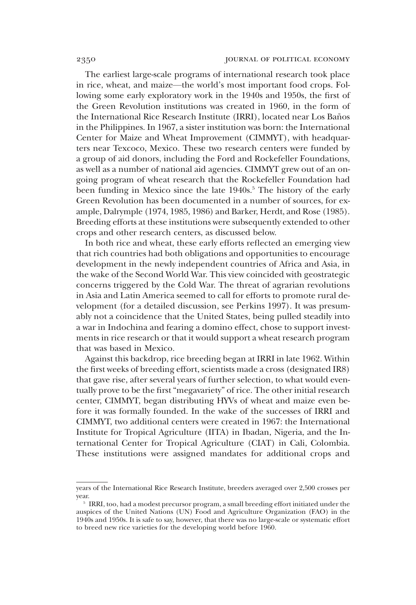The earliest large-scale programs of international research took place in rice, wheat, and maize—the world's most important food crops. Following some early exploratory work in the 1940s and 1950s, the first of the Green Revolution institutions was created in 1960, in the form of the International Rice Research Institute (IRRI), located near Los Baños in the Philippines. In 1967, a sister institution was born: the International Center for Maize and Wheat Improvement (CIMMYT), with headquarters near Texcoco, Mexico. These two research centers were funded by a group of aid donors, including the Ford and Rockefeller Foundations, as well as a number of national aid agencies. CIMMYT grew out of an ongoing program of wheat research that the Rockefeller Foundation had been funding in Mexico since the late 1940s.<sup>5</sup> The history of the early Green Revolution has been documented in a number of sources, for example, Dalrymple (1974, 1985, 1986) and Barker, Herdt, and Rose (1985). Breeding efforts at these institutions were subsequently extended to other crops and other research centers, as discussed below.

In both rice and wheat, these early efforts reflected an emerging view that rich countries had both obligations and opportunities to encourage development in the newly independent countries of Africa and Asia, in the wake of the Second World War. This view coincided with geostrategic concerns triggered by the Cold War. The threat of agrarian revolutions in Asia and Latin America seemed to call for efforts to promote rural development (for a detailed discussion, see Perkins 1997). It was presumably not a coincidence that the United States, being pulled steadily into a war in Indochina and fearing a domino effect, chose to support investments in rice research or that it would support a wheat research program that was based in Mexico.

Against this backdrop, rice breeding began at IRRI in late 1962. Within the first weeks of breeding effort, scientists made a cross (designated IR8) that gave rise, after several years of further selection, to what would eventually prove to be the first "megavariety" of rice. The other initial research center, CIMMYT, began distributing HYVs of wheat and maize even before it was formally founded. In the wake of the successes of IRRI and CIMMYT, two additional centers were created in 1967: the International Institute for Tropical Agriculture (IITA) in Ibadan, Nigeria, and the International Center for Tropical Agriculture (CIAT) in Cali, Colombia. These institutions were assigned mandates for additional crops and

years of the International Rice Research Institute, breeders averaged over 2,500 crosses per year.

<sup>5</sup> IRRI, too, had a modest precursor program, a small breeding effort initiated under the auspices of the United Nations (UN) Food and Agriculture Organization (FAO) in the 1940s and 1950s. It is safe to say, however, that there was no large-scale or systematic effort to breed new rice varieties for the developing world before 1960.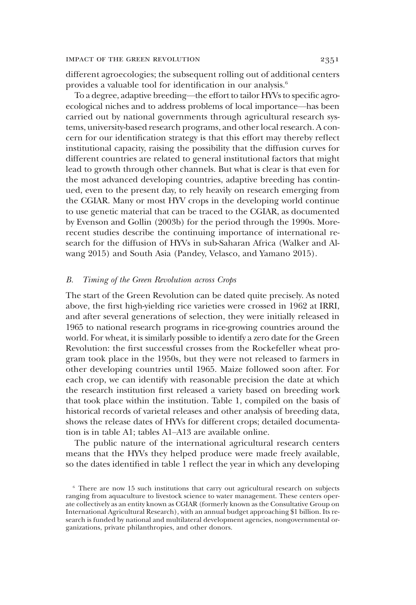different agroecologies; the subsequent rolling out of additional centers provides a valuable tool for identification in our analysis.<sup>6</sup>

To a degree, adaptive breeding—the effort to tailor HYVs to specific agroecological niches and to address problems of local importance—has been carried out by national governments through agricultural research systems, university-based research programs, and other local research. A concern for our identification strategy is that this effort may thereby reflect institutional capacity, raising the possibility that the diffusion curves for different countries are related to general institutional factors that might lead to growth through other channels. But what is clear is that even for the most advanced developing countries, adaptive breeding has continued, even to the present day, to rely heavily on research emerging from the CGIAR. Many or most HYV crops in the developing world continue to use genetic material that can be traced to the CGIAR, as documented by Evenson and Gollin (2003b) for the period through the 1990s. Morerecent studies describe the continuing importance of international research for the diffusion of HYVs in sub-Saharan Africa (Walker and Alwang 2015) and South Asia (Pandey, Velasco, and Yamano 2015).

## *B. Timing of the Green Revolution across Crops*

The start of the Green Revolution can be dated quite precisely. As noted above, the first high-yielding rice varieties were crossed in 1962 at IRRI, and after several generations of selection, they were initially released in 1965 to national research programs in rice-growing countries around the world. For wheat, it is similarly possible to identify a zero date for the Green Revolution: the first successful crosses from the Rockefeller wheat program took place in the 1950s, but they were not released to farmers in other developing countries until 1965. Maize followed soon after. For each crop, we can identify with reasonable precision the date at which the research institution first released a variety based on breeding work that took place within the institution. Table 1, compiled on the basis of historical records of varietal releases and other analysis of breeding data, shows the release dates of HYVs for different crops; detailed documentation is in table A1; tables A1–A13 are available online.

The public nature of the international agricultural research centers means that the HYVs they helped produce were made freely available, so the dates identified in table 1 reflect the year in which any developing

<sup>&</sup>lt;sup>6</sup> There are now 15 such institutions that carry out agricultural research on subjects ranging from aquaculture to livestock science to water management. These centers operate collectively as an entity known as CGIAR (formerly known as the Consultative Group on International Agricultural Research), with an annual budget approaching \$1 billion. Its research is funded by national and multilateral development agencies, nongovernmental organizations, private philanthropies, and other donors.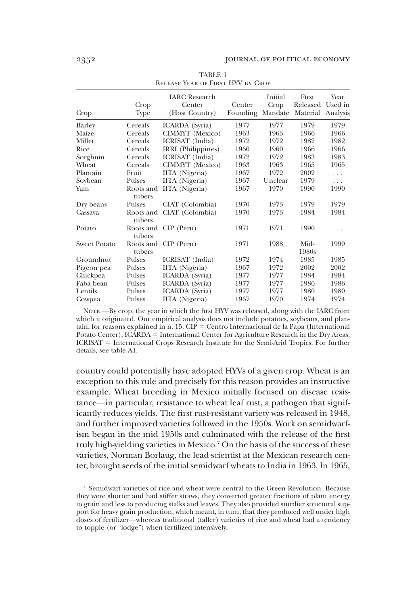| Crop                | Crop<br>Type        | <b>IARC</b> Research<br>Center<br>(Host Country) | Center<br>Founding | Initial<br>Crop<br>Mandate | First<br>Released<br>Material | Year<br>Used in<br>Analysis |
|---------------------|---------------------|--------------------------------------------------|--------------------|----------------------------|-------------------------------|-----------------------------|
| Barley              | Cereals             | ICARDA (Syria)                                   | 1977               | 1977                       | 1979                          | 1979                        |
| Maize               | Cereals             | CIMMYT (Mexico)                                  | 1963               | 1963                       | 1966                          | 1966                        |
| Millet              | Cereals             | ICRISAT (India)                                  | 1972               | 1972                       | 1982                          | 1982                        |
| Rice                | Cereals             | IRRI (Philippines)                               | 1960               | 1960                       | 1966                          | 1966                        |
| Sorghum             | Cereals             | ICRISAT (India)                                  | 1972               | 1972                       | 1983                          | 1983                        |
| Wheat               | Cereals             | CIMMYT (Mexico)                                  | 1963               | 1963                       | 1965                          | 1965                        |
| Plantain            | Fruit               | IITA (Nigeria)                                   | 1967               | 1972                       | 2002                          | $\cdots$                    |
| Soybean             | Pulses              | IITA (Nigeria)                                   | 1967               | Unclear                    | 1979                          | $\cdots$                    |
| Yam                 | Roots and<br>tubers | IITA (Nigeria)                                   | 1967               | 1970                       | 1990                          | 1990                        |
| Dry beans           | Pulses              | CIAT (Colombia)                                  | 1970               | 1973                       | 1979                          | 1979                        |
| Cassava             | Roots and<br>tubers | CIAT (Colombia)                                  | 1970               | 1973                       | 1984                          | 1984                        |
| Potato              | tubers              | Roots and CIP (Peru)                             | 1971               | 1971                       | 1990                          | $\cdots$                    |
| <b>Sweet Potato</b> | Roots and<br>tubers | $CIP$ (Peru)                                     | 1971               | 1988                       | Mid-<br>1980s                 | 1999                        |
| Groundnut           | Pulses              | ICRISAT (India)                                  | 1972               | 1974                       | 1985                          | 1985                        |
| Pigeon pea          | Pulses              | IITA (Nigeria)                                   | 1967               | 1972                       | 2002                          | 2002                        |
| Chickpea            | Pulses              | ICARDA (Syria)                                   | 1977               | 1977                       | 1984                          | 1984                        |
| Faba bean           | Pulses              | ICARDA (Syria)                                   | 1977               | 1977                       | 1986                          | 1986                        |
| Lentils             | Pulses              | ICARDA (Syria)                                   | 1977               | 1977                       | 1980                          | 1980                        |
| Cowpea              | Pulses              | IITA (Nigeria)                                   | 1967               | 1970                       | 1974                          | 1974                        |

TABLE 1 Release Year of First HYV by Crop

NOTE.—By crop, the year in which the first HYV was released, along with the IARC from which it originated. Our empirical analysis does not include potatoes, soybeans, and plantain, for reasons explained in n. 15. CIP = Centro Internacional de la Papa (International Potato Center);  $ICARDA = International Center for Agriculture Research in the Dry Areas;$  $ICRISAT = International Crops Research Institute for the Semi-Arid Tropics. For further$ details, see table A1.

country could potentially have adopted HYVs of a given crop. Wheat is an exception to this rule and precisely for this reason provides an instructive example. Wheat breeding in Mexico initially focused on disease resistance—in particular, resistance to wheat leaf rust, a pathogen that significantly reduces yields. The first rust-resistant variety was released in 1948, and further improved varieties followed in the 1950s. Work on semidwarfism began in the mid 1950s and culminated with the release of the first truly high-yielding varieties in Mexico.<sup>7</sup> On the basis of the success of these varieties, Norman Borlaug, the lead scientist at the Mexican research center, brought seeds of the initial semidwarf wheats to India in 1963. In 1965,

<sup>7</sup> Semidwarf varieties of rice and wheat were central to the Green Revolution. Because they were shorter and had stiffer straws, they converted greater fractions of plant energy to grain and less to producing stalks and leaves. They also provided sturdier structural support for heavy grain production, which meant, in turn, that they produced well under high doses of fertilizer—whereas traditional (taller) varieties of rice and wheat had a tendency to topple (or "lodge") when fertilized intensively.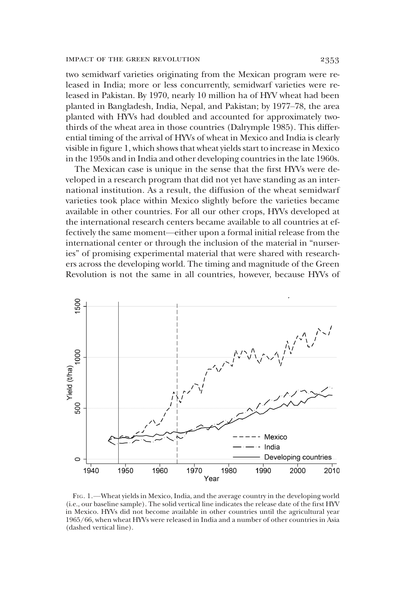two semidwarf varieties originating from the Mexican program were released in India; more or less concurrently, semidwarf varieties were released in Pakistan. By 1970, nearly 10 million ha of HYV wheat had been planted in Bangladesh, India, Nepal, and Pakistan; by 1977–78, the area planted with HYVs had doubled and accounted for approximately twothirds of the wheat area in those countries (Dalrymple 1985). This differential timing of the arrival of HYVs of wheat in Mexico and India is clearly visible in figure 1, which shows that wheat yields start to increase in Mexico in the 1950s and in India and other developing countries in the late 1960s.

The Mexican case is unique in the sense that the first HYVs were developed in a research program that did not yet have standing as an international institution. As a result, the diffusion of the wheat semidwarf varieties took place within Mexico slightly before the varieties became available in other countries. For all our other crops, HYVs developed at the international research centers became available to all countries at effectively the same moment—either upon a formal initial release from the international center or through the inclusion of the material in "nurseries" of promising experimental material that were shared with researchers across the developing world. The timing and magnitude of the Green Revolution is not the same in all countries, however, because HYVs of



FIG. 1.—Wheat yields in Mexico, India, and the average country in the developing world (i.e., our baseline sample). The solid vertical line indicates the release date of the first HYV in Mexico. HYVs did not become available in other countries until the agricultural year 1965/66, when wheat HYVs were released in India and a number of other countries in Asia (dashed vertical line).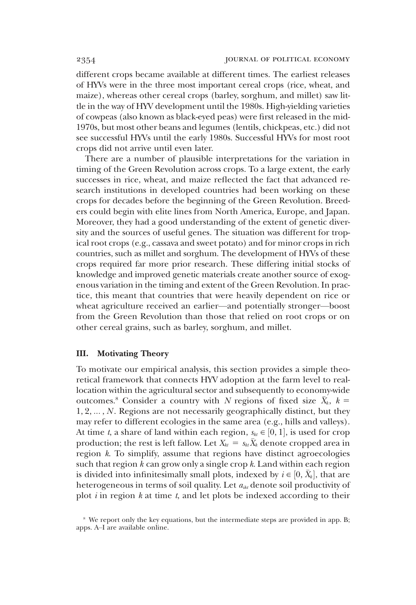different crops became available at different times. The earliest releases of HYVs were in the three most important cereal crops (rice, wheat, and maize), whereas other cereal crops (barley, sorghum, and millet) saw little in the way of HYV development until the 1980s. High-yielding varieties of cowpeas (also known as black-eyed peas) were first released in the mid-1970s, but most other beans and legumes (lentils, chickpeas, etc.) did not see successful HYVs until the early 1980s. Successful HYVs for most root crops did not arrive until even later.

There are a number of plausible interpretations for the variation in timing of the Green Revolution across crops. To a large extent, the early successes in rice, wheat, and maize reflected the fact that advanced research institutions in developed countries had been working on these crops for decades before the beginning of the Green Revolution. Breeders could begin with elite lines from North America, Europe, and Japan. Moreover, they had a good understanding of the extent of genetic diversity and the sources of useful genes. The situation was different for tropical root crops (e.g., cassava and sweet potato) and for minor crops in rich countries, such as millet and sorghum. The development of HYVs of these crops required far more prior research. These differing initial stocks of knowledge and improved genetic materials create another source of exogenous variation in the timing and extent of the Green Revolution. In practice, this meant that countries that were heavily dependent on rice or wheat agriculture received an earlier—and potentially stronger—boost from the Green Revolution than those that relied on root crops or on other cereal grains, such as barley, sorghum, and millet.

# III. Motivating Theory

To motivate our empirical analysis, this section provides a simple theoretical framework that connects HYV adoption at the farm level to reallocation within the agricultural sector and subsequently to economy-wide outcomes.<sup>8</sup> Consider a country with *N* regions of fixed size  $\bar{X}_k$ ,  $k =$ 1, 2, ..., *N*. Regions are not necessarily geographically distinct, but they may refer to different ecologies in the same area (e.g., hills and valleys). At time *t*, a share of land within each region,  $s_{kt} \in [0, 1]$ , is used for crop production; the rest is left fallow. Let  $X_{kt} = s_{kt} \overline{X}_k$  denote cropped area in region *k*. To simplify, assume that regions have distinct agroecologies such that region *k* can grow only a single crop *k*. Land within each region is divided into infinitesimally small plots, indexed by  $i \in [0, \bar{X}_k]$ , that are heterogeneous in terms of soil quality. Let  $a_{ikt}$  denote soil productivity of plot *i* in region *k* at time *t*, and let plots be indexed according to their

<sup>&</sup>lt;sup>8</sup> We report only the key equations, but the intermediate steps are provided in app. B; apps. A–I are available online.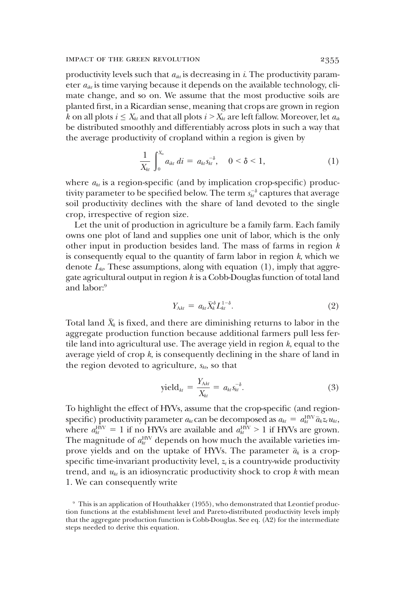productivity levels such that  $a_{ikt}$  is decreasing in *i*. The productivity parameter  $a_{ik}$  is time varying because it depends on the available technology, climate change, and so on. We assume that the most productive soils are planted first, in a Ricardian sense, meaning that crops are grown in region *k* on all plots  $i \leq X_{kt}$  and that all plots  $i > X_{kt}$  are left fallow. Moreover, let  $a_{ik}$ be distributed smoothly and differentiably across plots in such a way that the average productivity of cropland within a region is given by

$$
\frac{1}{X_{kt}}\int_0^{X_{kt}} a_{ikt} dt = a_{kt} s_{kt}^{-\delta}, \quad 0 < \delta < 1,
$$
 (1)

where  $a_{kt}$  is a region-specific (and by implication crop-specific) productivity parameter to be specified below. The term  $s_{kt}^{-\delta}$  captures that average soil productivity declines with the share of land devoted to the single crop, irrespective of region size.

Let the unit of production in agriculture be a family farm. Each family owns one plot of land and supplies one unit of labor, which is the only other input in production besides land. The mass of farms in region *k* is consequently equal to the quantity of farm labor in region *k*, which we denote  $L_{k}$ . These assumptions, along with equation (1), imply that aggregate agricultural output in region *k* is a Cobb-Douglas function of total land and labor:<sup>9</sup>

$$
Y_{\mathcal{A}_{kl}} = a_{kl} \bar{X}_k^{\delta} L_{kl}^{1-\delta}.
$$
 (2)

Total land  $\bar{X}_k$  is fixed, and there are diminishing returns to labor in the aggregate production function because additional farmers pull less fertile land into agricultural use. The average yield in region *k*, equal to the average yield of crop *k*, is consequently declining in the share of land in the region devoted to agriculture,  $s_{kt}$ , so that

$$
yield_{\substack{kt}} = \frac{Y_{\Delta kt}}{X_{\substack{kt}}} = a_{\substack{kt}} s_{\substack{kt}}^{-\delta}.
$$
\n(3)

To highlight the effect of HYVs, assume that the crop-specific (and regionspecific) productivity parameter  $a_{kt}$  can be decomposed as  $a_{kt} = a_{kt}^{\text{HVV}} \overline{a}_{k} z_{t} u_{kt}$ , where  $a_{kt}^{\text{HIV}} = 1$  if no HYVs are available and  $a_{kt}^{\text{HIV}} > 1$  if HYVs are grown. The magnitude of  $a_{\scriptscriptstyle kl}^{\rm HV}$  depends on how much the available varieties improve yields and on the uptake of HYVs. The parameter  $\bar{a}_k$  is a cropspecific time-invariant productivity level,  $z_t$  is a country-wide productivity trend, and  $u_{kt}$  is an idiosyncratic productivity shock to crop  $k$  with mean 1. We can consequently write

<sup>9</sup> This is an application of Houthakker (1955), who demonstrated that Leontief production functions at the establishment level and Pareto-distributed productivity levels imply that the aggregate production function is Cobb-Douglas. See eq. (A2) for the intermediate steps needed to derive this equation.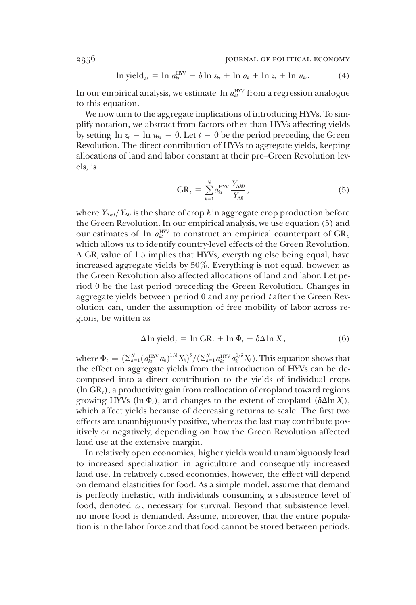$$
\ln \mathrm{yield}_{_{kl}} = \ln a_{_{kl}}^{\mathrm{HV}} - \delta \ln s_{_{kl}} + \ln \bar{a}_{_k} + \ln z_{_t} + \ln u_{_{kl}}.\tag{4}
$$

In our empirical analysis, we estimate  $\ln a_{kt}^{\text{HV}}$  from a regression analogue to this equation.

We now turn to the aggregate implications of introducing HYVs. To simplify notation, we abstract from factors other than HYVs affecting yields by setting  $\ln z_t = \ln u_{kt} = 0$ . Let  $t = 0$  be the period preceding the Green Revolution. The direct contribution of HYVs to aggregate yields, keeping allocations of land and labor constant at their pre–Green Revolution levels, is

$$
GR_{t} = \sum_{k=1}^{N} a_{kt}^{\text{HYV}} \frac{Y_{\text{A}k0}}{Y_{\text{A}0}}, \qquad (5)
$$

where  $Y_{\text{A}k0}/Y_{\text{A}0}$  is the share of crop *k* in aggregate crop production before the Green Revolution. In our empirical analysis, we use equation (5) and our estimates of ln  $a_{kt}^{\text{HW}}$  to construct an empirical counterpart of  $GR_{\nu}$ which allows us to identify country-level effects of the Green Revolution. A GR*<sup>t</sup>* value of 1.5 implies that HYVs, everything else being equal, have increased aggregate yields by 50%. Everything is not equal, however, as the Green Revolution also affected allocations of land and labor. Let period 0 be the last period preceding the Green Revolution. Changes in aggregate yields between period 0 and any period *t* after the Green Revolution can, under the assumption of free mobility of labor across regions, be written as

$$
\Delta \ln \text{yield}_t = \ln \text{GR}_t + \ln \Phi_t - \delta \Delta \ln X_t, \tag{6}
$$

where  $\Phi_t \equiv (\Sigma_{k=1}^N (a_{kt}^{\text{HVV}} \overline{a}_k)^{1/\delta} \overline{X}_k)^{\delta} / (\Sigma_{k=1}^N a_{kt}^{\text{HVV}} \overline{a}_k^{1/\delta} \overline{X}_k)$ . This equation shows that the effect on aggregate yields from the introduction of HYVs can be decomposed into a direct contribution to the yields of individual crops (ln GR*t*), a productivity gain from reallocation of cropland toward regions growing HYVs (ln  $\Phi_t$ ), and changes to the extent of cropland ( $\delta \Delta \ln X_t$ ), which affect yields because of decreasing returns to scale. The first two effects are unambiguously positive, whereas the last may contribute positively or negatively, depending on how the Green Revolution affected land use at the extensive margin.

In relatively open economies, higher yields would unambiguously lead to increased specialization in agriculture and consequently increased land use. In relatively closed economies, however, the effect will depend on demand elasticities for food. As a simple model, assume that demand is perfectly inelastic, with individuals consuming a subsistence level of food, denoted  $\bar{c}_A$ , necessary for survival. Beyond that subsistence level, no more food is demanded. Assume, moreover, that the entire population is in the labor force and that food cannot be stored between periods.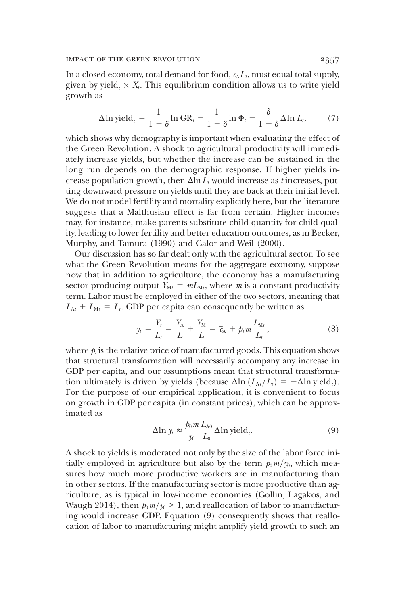In a closed economy, total demand for food,  $\bar{c}_A L_t$ , must equal total supply, given by yield<sub> $\ell$ </sub>  $\times$   $X_{\ell}$ . This equilibrium condition allows us to write yield growth as

$$
\Delta \ln \text{yield}_t = \frac{1}{1-\delta} \ln \text{GR}_t + \frac{1}{1-\delta} \ln \Phi_t - \frac{\delta}{1-\delta} \Delta \ln L_t, \tag{7}
$$

which shows why demography is important when evaluating the effect of the Green Revolution. A shock to agricultural productivity will immediately increase yields, but whether the increase can be sustained in the long run depends on the demographic response. If higher yields increase population growth, then  $\Delta \ln L_t$  would increase as *t* increases, putting downward pressure on yields until they are back at their initial level. We do not model fertility and mortality explicitly here, but the literature suggests that a Malthusian effect is far from certain. Higher incomes may, for instance, make parents substitute child quantity for child quality, leading to lower fertility and better education outcomes, as in Becker, Murphy, and Tamura (1990) and Galor and Weil (2000).

Our discussion has so far dealt only with the agricultural sector. To see what the Green Revolution means for the aggregate economy, suppose now that in addition to agriculture, the economy has a manufacturing sector producing output  $\tilde{Y}_{Mt} = mL_{Mt}$ , where *m* is a constant productivity term. Labor must be employed in either of the two sectors, meaning that  $L_{\text{A}t} + L_{\text{M}t} = L_t$ . GDP per capita can consequently be written as

$$
y_t = \frac{Y_t}{L_t} = \frac{Y_A}{L} + \frac{Y_M}{L} = \bar{c}_A + p_t m \frac{L_{Mt}}{L_t},
$$
 (8)

where  $p_{\iota}$  is the relative price of manufactured goods. This equation shows that structural transformation will necessarily accompany any increase in GDP per capita, and our assumptions mean that structural transformation ultimately is driven by yields (because  $\Delta \ln (L_{\text{A}t}/L_t) = -\Delta \ln \text{yield}_t$ ). For the purpose of our empirical application, it is convenient to focus on growth in GDP per capita (in constant prices), which can be approximated as

$$
\Delta \ln y_t \approx \frac{p_0 m}{y_0} \frac{L_{A0}}{L_0} \Delta \ln \text{yield}_t. \tag{9}
$$

A shock to yields is moderated not only by the size of the labor force initially employed in agriculture but also by the term  $p_0 m/y_0$ , which measures how much more productive workers are in manufacturing than in other sectors. If the manufacturing sector is more productive than agriculture, as is typical in low-income economies (Gollin, Lagakos, and Waugh 2014), then  $p_0 m/y_0 > 1$ , and reallocation of labor to manufacturing would increase GDP. Equation (9) consequently shows that reallocation of labor to manufacturing might amplify yield growth to such an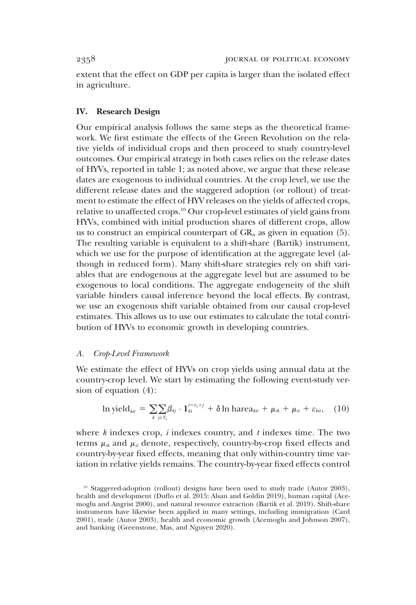extent that the effect on GDP per capita is larger than the isolated effect in agriculture.

# IV. Research Design

Our empirical analysis follows the same steps as the theoretical framework. We first estimate the effects of the Green Revolution on the relative yields of individual crops and then proceed to study country-level outcomes. Our empirical strategy in both cases relies on the release dates of HYVs, reported in table 1; as noted above, we argue that these release dates are exogenous to individual countries. At the crop level, we use the different release dates and the staggered adoption (or rollout) of treatment to estimate the effect of HYV releases on the yields of affected crops, relative to unaffected crops.<sup>10</sup> Our crop-level estimates of yield gains from HYVs, combined with initial production shares of different crops, allow us to construct an empirical counterpart of  $GR<sub>b</sub>$  as given in equation (5). The resulting variable is equivalent to a shift-share (Bartik) instrument, which we use for the purpose of identification at the aggregate level (although in reduced form). Many shift-share strategies rely on shift variables that are endogenous at the aggregate level but are assumed to be exogenous to local conditions. The aggregate endogeneity of the shift variable hinders causal inference beyond the local effects. By contrast, we use an exogenous shift variable obtained from our causal crop-level estimates. This allows us to use our estimates to calculate the total contribution of HYVs to economic growth in developing countries.

## *A. Crop-Level Framework*

We estimate the effect of HYVs on crop yields using annual data at the country-crop level. We start by estimating the following event-study version of equation (4):

$$
\ln \text{yield}_{\text{kit}} = \sum_{k} \sum_{j \in T_k} \beta_{kj} \cdot \mathbf{1}_{\text{kt}}^{\text{t} = \tau_k + j} + \delta \ln \text{harea}_{\text{kit}} + \mu_{ik} + \mu_{il} + \varepsilon_{\text{kit}}, \quad (10)
$$

where *k* indexes crop, *i* indexes country, and *t* indexes time. The two terms  $\mu_{ik}$  and  $\mu_{it}$  denote, respectively, country-by-crop fixed effects and country-by-year fixed effects, meaning that only within-country time variation in relative yields remains. The country-by-year fixed effects control

<sup>&</sup>lt;sup>10</sup> Staggered-adoption (rollout) designs have been used to study trade (Autor 2003), health and development (Duflo et al. 2015; Alsan and Goldin 2019), human capital (Acemoglu and Angrist 2000), and natural resource extraction (Bartik et al. 2019). Shift-share instruments have likewise been applied in many settings, including immigration (Card 2001), trade (Autor 2003), health and economic growth (Acemoglu and Johnson 2007), and banking (Greenstone, Mas, and Nguyen 2020).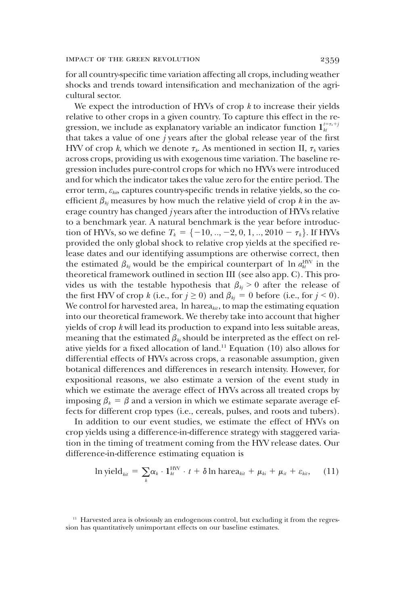for all country-specific time variation affecting all crops, including weather shocks and trends toward intensification and mechanization of the agricultural sector.

We expect the introduction of HYVs of crop *k* to increase their yields relative to other crops in a given country. To capture this effect in the regression, we include as explanatory variable an indicator function  $\mathbf{1}_{kt}^{t=\tau_{k}+j}$ that takes a value of one *j* years after the global release year of the first HYV of crop *k*, which we denote  $\tau_k$ . As mentioned in section II,  $\tau_k$  varies across crops, providing us with exogenous time variation. The baseline regression includes pure-control crops for which no HYVs were introduced and for which the indicator takes the value zero for the entire period. The error term,  $\varepsilon_{kin}$ , captures country-specific trends in relative yields, so the coefficient  $\beta_{ki}$  measures by how much the relative yield of crop *k* in the average country has changed *j* years after the introduction of HYVs relative to a benchmark year. A natural benchmark is the year before introduction of HYVs, so we define  $T_k = \{-10, ..., -2, 0, 1, ..., 2010 - \tau_k\}$ . If HYVs provided the only global shock to relative crop yields at the specified release dates and our identifying assumptions are otherwise correct, then the estimated  $\beta_{kj}$  would be the empirical counterpart of  $\ln a_{kt}^{\text{HV}}$  in the theoretical framework outlined in section III (see also app. C). This provides us with the testable hypothesis that  $\beta_{kj} > 0$  after the release of the first HYV of crop *k* (i.e., for  $j \ge 0$ ) and  $\beta_{kj} = 0$  before (i.e., for  $j \le 0$ ). We control for harvested area, ln harea<sub>kit</sub>, to map the estimating equation into our theoretical framework. We thereby take into account that higher yields of crop *k* will lead its production to expand into less suitable areas, meaning that the estimated  $\beta_{kj}$  should be interpreted as the effect on relative yields for a fixed allocation of land.<sup>11</sup> Equation (10) also allows for differential effects of HYVs across crops, a reasonable assumption, given botanical differences and differences in research intensity. However, for expositional reasons, we also estimate a version of the event study in which we estimate the average effect of HYVs across all treated crops by imposing  $\beta_k = \beta$  and a version in which we estimate separate average effects for different crop types (i.e., cereals, pulses, and roots and tubers).

In addition to our event studies, we estimate the effect of HYVs on crop yields using a difference-in-difference strategy with staggered variation in the timing of treatment coming from the HYV release dates. Our difference-in-difference estimating equation is

$$
\ln \text{yield}_{\text{kit}} = \sum_{k} \alpha_k \cdot \mathbf{1}_{\text{ht}}^{\text{HNV}} \cdot t + \delta \ln \text{harea}_{\text{kit}} + \mu_{\text{ki}} + \mu_{\text{it}} + \varepsilon_{\text{kit}}, \quad (11)
$$

<sup>&</sup>lt;sup>11</sup> Harvested area is obviously an endogenous control, but excluding it from the regression has quantitatively unimportant effects on our baseline estimates.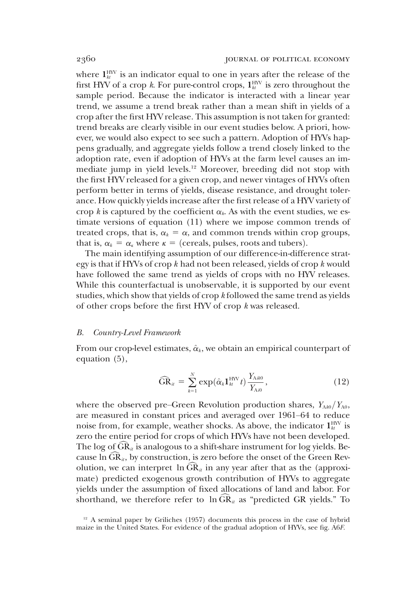where  $\mathbf{1}_{\mathit{ht}}^{\text{HW}}$  is an indicator equal to one in years after the release of the first HYV of a crop *k*. For pure-control crops,  $\mathbf{1}_{\mathit{kt}}^{\text{HW}}$  is zero throughout the sample period. Because the indicator is interacted with a linear year trend, we assume a trend break rather than a mean shift in yields of a crop after the first HYV release. This assumption is not taken for granted: trend breaks are clearly visible in our event studies below. A priori, however, we would also expect to see such a pattern. Adoption of HYVs happens gradually, and aggregate yields follow a trend closely linked to the adoption rate, even if adoption of HYVs at the farm level causes an immediate jump in yield levels.<sup>12</sup> Moreover, breeding did not stop with the first HYV released for a given crop, and newer vintages of HYVs often perform better in terms of yields, disease resistance, and drought tolerance. How quickly yields increase after the first release of a HYV variety of crop  $k$  is captured by the coefficient  $\alpha_k$ . As with the event studies, we estimate versions of equation (11) where we impose common trends of treated crops, that is,  $\alpha_k = \alpha$ , and common trends within crop groups, that is,  $\alpha_k = \alpha_k$  where  $\kappa =$  (cereals, pulses, roots and tubers).

The main identifying assumption of our difference-in-difference strategy is that if HYVs of crop *k* had not been released, yields of crop *k* would have followed the same trend as yields of crops with no HYV releases. While this counterfactual is unobservable, it is supported by our event studies, which show that yields of crop *k* followed the same trend as yields of other crops before the first HYV of crop *k* was released.

#### *B. Country-Level Framework*

From our crop-level estimates,  $\hat{\alpha}_k$ , we obtain an empirical counterpart of equation (5),

$$
\widehat{\text{GR}}_{it} = \sum_{k=1}^{N} \exp(\hat{\alpha}_k \mathbf{1}_{kt}^{\text{HW}} t) \frac{Y_{\text{A}it0}}{Y_{\text{A}i0}}, \tag{12}
$$

where the observed pre–Green Revolution production shares,  $Y_{\text{A40}}/Y_{\text{A0}}$ , are measured in constant prices and averaged over 1961–64 to reduce noise from, for example, weather shocks. As above, the indicator  $\mathbf{1}_{kt}^{\text{HVV}}$  is zero the entire period for crops of which HYVs have not been developed. The log of  $GR_{it}$  is analogous to a shift-share instrument for log yields. Because  $\ln \overline{GR}_{it}$ , by construction, is zero before the onset of the Green Revolution, we can interpret  $\ln \text{GR}_{it}$  in any year after that as the (approximate) predicted exogenous growth contribution of HYVs to aggregate yields under the assumption of fixed allocations of land and labor. For shorthand, we therefore refer to  $\ln \overline{\text{GR}}_u$  as "predicted GR yields." To

 $12$  A seminal paper by Griliches (1957) documents this process in the case of hybrid maize in the United States. For evidence of the gradual adoption of HYVs, see fig. A6*F*.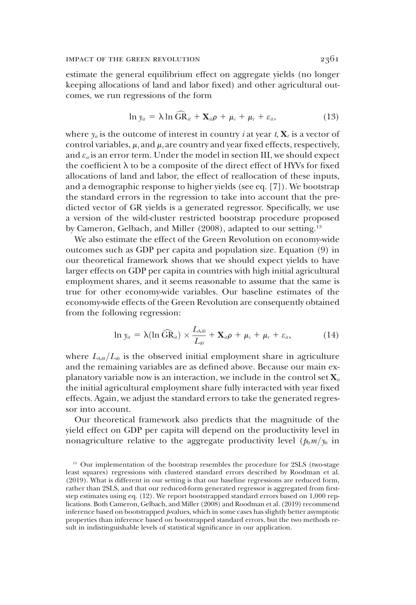estimate the general equilibrium effect on aggregate yields (no longer keeping allocations of land and labor fixed) and other agricultural outcomes, we run regressions of the form

$$
\ln y_{ii} = \lambda \ln \widehat{\text{GR}}_{ii} + \mathbf{X}_{ii}\rho + \mu_i + \mu_t + \varepsilon_{ii}, \qquad (13)
$$

where  $y_i$  is the outcome of interest in country *i* at year *t*,  $X_i$  is a vector of control variables,  $\mu_i$  and  $\mu_i$  are country and year fixed effects, respectively, and  $\varepsilon_{ii}$  is an error term. Under the model in section III, we should expect the coefficient  $\lambda$  to be a composite of the direct effect of HYVs for fixed allocations of land and labor, the effect of reallocation of these inputs, and a demographic response to higher yields (see eq. [7]). We bootstrap the standard errors in the regression to take into account that the predicted vector of GR yields is a generated regressor. Specifically, we use a version of the wild-cluster restricted bootstrap procedure proposed by Cameron, Gelbach, and Miller (2008), adapted to our setting.<sup>13</sup>

We also estimate the effect of the Green Revolution on economy-wide outcomes such as GDP per capita and population size. Equation (9) in our theoretical framework shows that we should expect yields to have larger effects on GDP per capita in countries with high initial agricultural employment shares, and it seems reasonable to assume that the same is true for other economy-wide variables. Our baseline estimates of the economy-wide effects of the Green Revolution are consequently obtained from the following regression:

$$
\ln y_{ii} = \lambda (\ln \widehat{\text{GR}}_{ii}) \times \frac{L_{Ai0}}{L_{i0}} + \mathbf{X}_{ii} \rho + \mu_i + \mu_t + \varepsilon_{ii}, \qquad (14)
$$

where  $L_{Ai0}/L_{i0}$  is the observed initial employment share in agriculture and the remaining variables are as defined above. Because our main explanatory variable now is an interaction, we include in the control set  $\mathbf{X}_{it}$ the initial agricultural employment share fully interacted with year fixed effects. Again, we adjust the standard errors to take the generated regressor into account.

Our theoretical framework also predicts that the magnitude of the yield effect on GDP per capita will depend on the productivity level in nonagriculture relative to the aggregate productivity level  $(p_0 m/y_0)$  in

<sup>&</sup>lt;sup>13</sup> Our implementation of the bootstrap resembles the procedure for 2SLS (two-stage least squares) regressions with clustered standard errors described by Roodman et al. (2019). What is different in our setting is that our baseline regressions are reduced form, rather than 2SLS, and that our reduced-form generated regressor is aggregated from firststep estimates using eq. (12). We report bootstrapped standard errors based on 1,000 replications. Both Cameron, Gelbach, and Miller (2008) and Roodman et al. (2019) recommend inference based on bootstrapped *p*-values, which in some cases has slightly better asymptotic properties than inference based on bootstrapped standard errors, but the two methods result in indistinguishable levels of statistical significance in our application.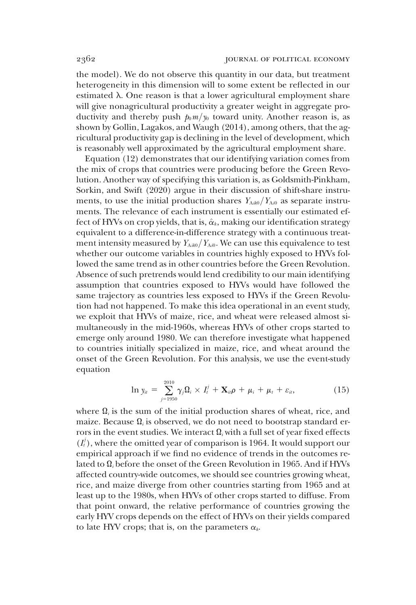the model). We do not observe this quantity in our data, but treatment heterogeneity in this dimension will to some extent be reflected in our estimated  $\lambda$ . One reason is that a lower agricultural employment share will give nonagricultural productivity a greater weight in aggregate productivity and thereby push  $p_0 m/y_0$  toward unity. Another reason is, as shown by Gollin, Lagakos, and Waugh (2014), among others, that the agricultural productivity gap is declining in the level of development, which is reasonably well approximated by the agricultural employment share.

Equation (12) demonstrates that our identifying variation comes from the mix of crops that countries were producing before the Green Revolution. Another way of specifying this variation is, as Goldsmith-Pinkham, Sorkin, and Swift (2020) argue in their discussion of shift-share instruments, to use the initial production shares  $Y_{\text{Aik0}}/Y_{\text{Ai0}}$  as separate instruments. The relevance of each instrument is essentially our estimated effect of HYVs on crop yields, that is,  $\hat{\alpha}_k$ , making our identification strategy equivalent to a difference-in-difference strategy with a continuous treatment intensity measured by  $Y_{Aik0}/Y_{Ai0}$ . We can use this equivalence to test whether our outcome variables in countries highly exposed to HYVs followed the same trend as in other countries before the Green Revolution. Absence of such pretrends would lend credibility to our main identifying assumption that countries exposed to HYVs would have followed the same trajectory as countries less exposed to HYVs if the Green Revolution had not happened. To make this idea operational in an event study, we exploit that HYVs of maize, rice, and wheat were released almost simultaneously in the mid-1960s, whereas HYVs of other crops started to emerge only around 1980. We can therefore investigate what happened to countries initially specialized in maize, rice, and wheat around the onset of the Green Revolution. For this analysis, we use the event-study equation

$$
\ln y_{ii} = \sum_{j=1950}^{2010} \gamma_j \Omega_i \times I^j_t + \mathbf{X}_{ii} \rho + \mu_i + \mu_t + \varepsilon_{ii}, \qquad (15)
$$

where  $\Omega_i$  is the sum of the initial production shares of wheat, rice, and maize. Because Q*<sup>i</sup>* is observed, we do not need to bootstrap standard errors in the event studies. We interact  $\Omega_i$  with a full set of year fixed effects  $(I_i^j)$ , where the omitted year of comparison is 1964. It would support our empirical approach if we find no evidence of trends in the outcomes related to Q*<sup>i</sup>* before the onset of the Green Revolution in 1965. And if HYVs affected country-wide outcomes, we should see countries growing wheat, rice, and maize diverge from other countries starting from 1965 and at least up to the 1980s, when HYVs of other crops started to diffuse. From that point onward, the relative performance of countries growing the early HYV crops depends on the effect of HYVs on their yields compared to late HYV crops; that is, on the parameters  $\alpha_k$ .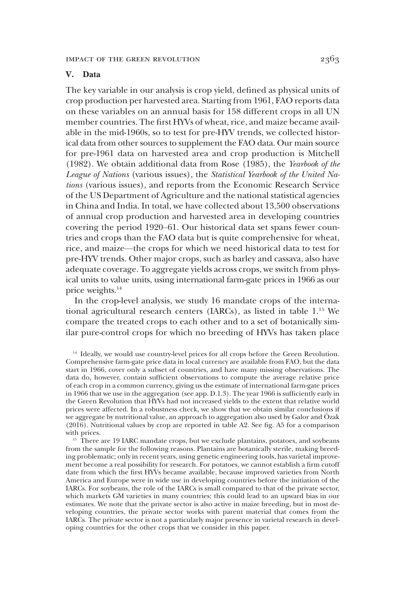# V. Data

The key variable in our analysis is crop yield, defined as physical units of crop production per harvested area. Starting from 1961, FAO reports data on these variables on an annual basis for 158 different crops in all UN member countries. The first HYVs of wheat, rice, and maize became available in the mid-1960s, so to test for pre-HYV trends, we collected historical data from other sources to supplement the FAO data. Our main source for pre-1961 data on harvested area and crop production is Mitchell (1982). We obtain additional data from Rose (1985), the *Yearbook of the League of Nations* (various issues), the *Statistical Yearbook of the United Nations* (various issues), and reports from the Economic Research Service of the US Department of Agriculture and the national statistical agencies in China and India. In total, we have collected about 13,500 observations of annual crop production and harvested area in developing countries covering the period 1920–61. Our historical data set spans fewer countries and crops than the FAO data but is quite comprehensive for wheat, rice, and maize—the crops for which we need historical data to test for pre-HYV trends. Other major crops, such as barley and cassava, also have adequate coverage. To aggregate yields across crops, we switch from physical units to value units, using international farm-gate prices in 1966 as our price weights.<sup>14</sup>

In the crop-level analysis, we study 16 mandate crops of the international agricultural research centers (IARCs), as listed in table 1.<sup>15</sup> We compare the treated crops to each other and to a set of botanically similar pure-control crops for which no breeding of HYVs has taken place

<sup>14</sup> Ideally, we would use country-level prices for all crops before the Green Revolution. Comprehensive farm-gate price data in local currency are available from FAO, but the data start in 1966, cover only a subset of countries, and have many missing observations. The data do, however, contain sufficient observations to compute the average relative price of each crop in a common currency, giving us the estimate of international farm-gate prices in 1966 that we use in the aggregation (see app. D.1.3). The year 1966 is sufficiently early in the Green Revolution that HYVs had not increased yields to the extent that relative world prices were affected. In a robustness check, we show that we obtain similar conclusions if we aggregate by nutritional value, an approach to aggregation also used by Galor and Özak (2016). Nutritional values by crop are reported in table A2. See fig. A5 for a comparison with prices.

<sup>15</sup> There are 19 IARC mandate crops, but we exclude plantains, potatoes, and soybeans from the sample for the following reasons. Plantains are botanically sterile, making breeding problematic; only in recent years, using genetic engineering tools, has varietal improvement become a real possibility for research. For potatoes, we cannot establish a firm cutoff date from which the first HYVs became available, because improved varieties from North America and Europe were in wide use in developing countries before the initiation of the IARCs. For soybeans, the role of the IARCs is small compared to that of the private sector, which markets GM varieties in many countries; this could lead to an upward bias in our estimates. We note that the private sector is also active in maize breeding, but in most developing countries, the private sector works with parent material that comes from the IARCs. The private sector is not a particularly major presence in varietal research in developing countries for the other crops that we consider in this paper.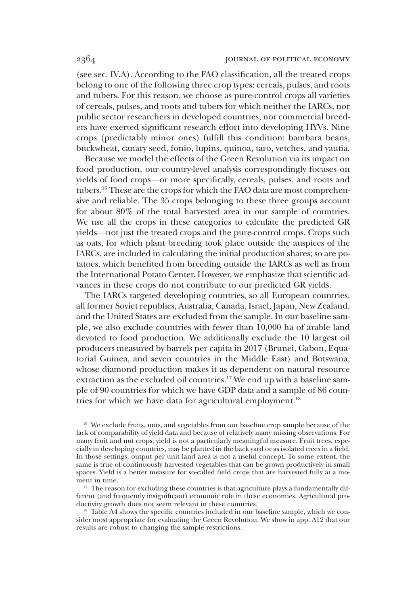(see sec. IV.A). According to the FAO classification, all the treated crops belong to one of the following three crop types: cereals, pulses, and roots and tubers. For this reason, we choose as pure-control crops all varieties of cereals, pulses, and roots and tubers for which neither the IARCs, nor public sector researchers in developed countries, nor commercial breeders have exerted significant research effort into developing HYVs. Nine crops (predictably minor ones) fulfill this condition: bambara beans, buckwheat, canary seed, fonio, lupins, quinoa, taro, vetches, and yautia.

Because we model the effects of the Green Revolution via its impact on food production, our country-level analysis correspondingly focuses on yields of food crops—or more specifically, cereals, pulses, and roots and tubers.<sup>16</sup> These are the crops for which the FAO data are most comprehensive and reliable. The 35 crops belonging to these three groups account for about 80% of the total harvested area in our sample of countries. We use all the crops in these categories to calculate the predicted GR yields—not just the treated crops and the pure-control crops. Crops such as oats, for which plant breeding took place outside the auspices of the IARCs, are included in calculating the initial production shares; so are potatoes, which benefited from breeding outside the IARCs as well as from the International Potato Center. However, we emphasize that scientific advances in these crops do not contribute to our predicted GR yields.

The IARCs targeted developing countries, so all European countries, all former Soviet republics, Australia, Canada, Israel, Japan, New Zealand, and the United States are excluded from the sample. In our baseline sample, we also exclude countries with fewer than 10,000 ha of arable land devoted to food production. We additionally exclude the 10 largest oil producers measured by barrels per capita in 2017 (Brunei, Gabon, Equatorial Guinea, and seven countries in the Middle East) and Botswana, whose diamond production makes it as dependent on natural resource extraction as the excluded oil countries.<sup>17</sup> We end up with a baseline sample of 90 countries for which we have GDP data and a sample of 86 countries for which we have data for agricultural employment.<sup>18</sup>

<sup>16</sup> We exclude fruits, nuts, and vegetables from our baseline crop sample because of the lack of comparability of yield data and because of relatively many missing observations. For many fruit and nut crops, yield is not a particularly meaningful measure. Fruit trees, especially in developing countries, may be planted in the back yard or as isolated trees in a field. In those settings, output per unit land area is not a useful concept. To some extent, the same is true of continuously harvested vegetables that can be grown productively in small spaces. Yield is a better measure for so-called field crops that are harvested fully at a moment in time.

<sup>17</sup> The reason for excluding these countries is that agriculture plays a fundamentally different (and frequently insignificant) economic role in these economies. Agricultural productivity growth does not seem relevant in these countries.

 $18$  Table A4 shows the specific countries included in our baseline sample, which we consider most appropriate for evaluating the Green Revolution. We show in app. A12 that our results are robust to changing the sample restrictions.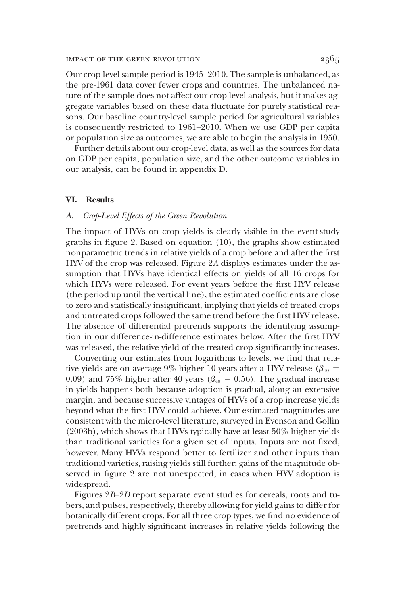Our crop-level sample period is 1945–2010. The sample is unbalanced, as the pre-1961 data cover fewer crops and countries. The unbalanced nature of the sample does not affect our crop-level analysis, but it makes aggregate variables based on these data fluctuate for purely statistical reasons. Our baseline country-level sample period for agricultural variables is consequently restricted to 1961–2010. When we use GDP per capita or population size as outcomes, we are able to begin the analysis in 1950.

Further details about our crop-level data, as well as the sources for data on GDP per capita, population size, and the other outcome variables in our analysis, can be found in appendix D.

#### VI. Results

## *A. Crop-Level Effects of the Green Revolution*

The impact of HYVs on crop yields is clearly visible in the event-study graphs in figure 2. Based on equation (10), the graphs show estimated nonparametric trends in relative yields of a crop before and after the first HYV of the crop was released. Figure 2*A* displays estimates under the assumption that HYVs have identical effects on yields of all 16 crops for which HYVs were released. For event years before the first HYV release (the period up until the vertical line), the estimated coefficients are close to zero and statistically insignificant, implying that yields of treated crops and untreated crops followed the same trend before the first HYV release. The absence of differential pretrends supports the identifying assumption in our difference-in-difference estimates below. After the first HYV was released, the relative yield of the treated crop significantly increases.

Converting our estimates from logarithms to levels, we find that relative yields are on average 9% higher 10 years after a HYV release  $(\beta_{10} =$ 0.09) and 75% higher after 40 years ( $\beta_{40} = 0.56$ ). The gradual increase in yields happens both because adoption is gradual, along an extensive margin, and because successive vintages of HYVs of a crop increase yields beyond what the first HYV could achieve. Our estimated magnitudes are consistent with the micro-level literature, surveyed in Evenson and Gollin (2003b), which shows that HYVs typically have at least 50% higher yields than traditional varieties for a given set of inputs. Inputs are not fixed, however. Many HYVs respond better to fertilizer and other inputs than traditional varieties, raising yields still further; gains of the magnitude observed in figure 2 are not unexpected, in cases when HYV adoption is widespread.

Figures 2*B*–2*D* report separate event studies for cereals, roots and tubers, and pulses, respectively, thereby allowing for yield gains to differ for botanically different crops. For all three crop types, we find no evidence of pretrends and highly significant increases in relative yields following the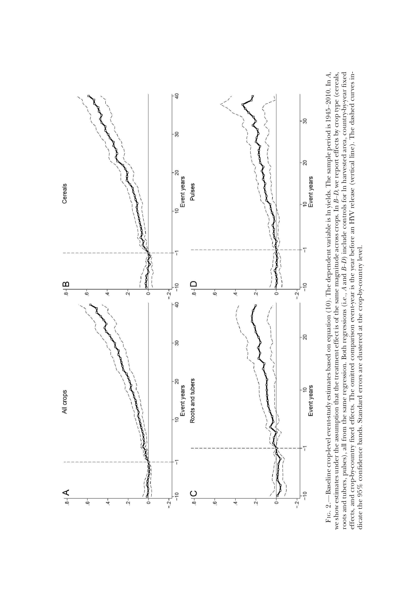

we show estimates under the assumption that the treatment effect is of the same magnitude across crops. In B-D, we report effects by crop type (cereals, *A*, *B*–*D*, we report effects by crop type (cereals, *B*–*D*) include controls for ln harvested area, country-by-year fixed effects, and crop-by-country fixed effects. The omitted comparison event-year is the year before an HYV release (vertical line). The dashed curves in-—Baseline crop-level event-study estimates based on equation (10). The dependent variable is ln yields. The sample period is 1945–2010. In we show estimates under the assumption that the treatment effect is of the same magnitude across crops. In dicate the 95% confidence bands. Standard errors are clustered at the crop-by-country level. dicate the 95% confidence bands. Standard errors are clustered at the crop-by-country level.*A* and roots and tubers, pulses), all from the same regression. Both regressions (i.e., FIG. 2.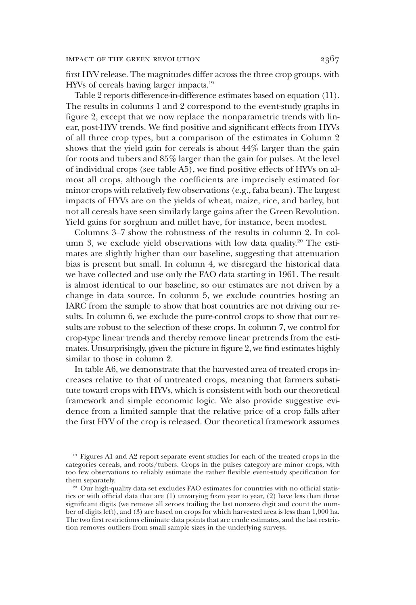first HYV release. The magnitudes differ across the three crop groups, with HYVs of cereals having larger impacts.<sup>19</sup>

Table 2 reports difference-in-difference estimates based on equation (11). The results in columns 1 and 2 correspond to the event-study graphs in figure 2, except that we now replace the nonparametric trends with linear, post-HYV trends. We find positive and significant effects from HYVs of all three crop types, but a comparison of the estimates in Column 2 shows that the yield gain for cereals is about 44% larger than the gain for roots and tubers and 85% larger than the gain for pulses. At the level of individual crops (see table A5), we find positive effects of HYVs on almost all crops, although the coefficients are imprecisely estimated for minor crops with relatively few observations (e.g., faba bean). The largest impacts of HYVs are on the yields of wheat, maize, rice, and barley, but not all cereals have seen similarly large gains after the Green Revolution. Yield gains for sorghum and millet have, for instance, been modest.

Columns 3–7 show the robustness of the results in column 2. In column 3, we exclude yield observations with low data quality.<sup>20</sup> The estimates are slightly higher than our baseline, suggesting that attenuation bias is present but small. In column 4, we disregard the historical data we have collected and use only the FAO data starting in 1961. The result is almost identical to our baseline, so our estimates are not driven by a change in data source. In column 5, we exclude countries hosting an IARC from the sample to show that host countries are not driving our results. In column 6, we exclude the pure-control crops to show that our results are robust to the selection of these crops. In column 7, we control for crop-type linear trends and thereby remove linear pretrends from the estimates. Unsurprisingly, given the picture in figure 2, we find estimates highly similar to those in column 2.

In table A6, we demonstrate that the harvested area of treated crops increases relative to that of untreated crops, meaning that farmers substitute toward crops with HYVs, which is consistent with both our theoretical framework and simple economic logic. We also provide suggestive evidence from a limited sample that the relative price of a crop falls after the first HYV of the crop is released. Our theoretical framework assumes

<sup>19</sup> Figures A1 and A2 report separate event studies for each of the treated crops in the categories cereals, and roots/tubers. Crops in the pulses category are minor crops, with too few observations to reliably estimate the rather flexible event-study specification for them separately.

<sup>&</sup>lt;sup>20</sup> Our high-quality data set excludes FAO estimates for countries with no official statistics or with official data that are (1) unvarying from year to year, (2) have less than three significant digits (we remove all zeroes trailing the last nonzero digit and count the number of digits left), and (3) are based on crops for which harvested area is less than 1,000 ha. The two first restrictions eliminate data points that are crude estimates, and the last restriction removes outliers from small sample sizes in the underlying surveys.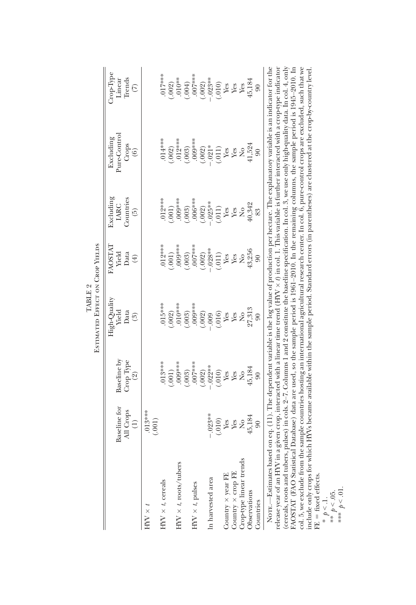|                                                                                                                                                                                                                                                                                                                           |                           |                                        | <b>ESTIMATED EFFECT ON CROP YIELDS</b> |                                         |                                |                                                     |                                                              |
|---------------------------------------------------------------------------------------------------------------------------------------------------------------------------------------------------------------------------------------------------------------------------------------------------------------------------|---------------------------|----------------------------------------|----------------------------------------|-----------------------------------------|--------------------------------|-----------------------------------------------------|--------------------------------------------------------------|
|                                                                                                                                                                                                                                                                                                                           | Baseline for<br>All Crops | Baseline by<br>Crop Type               | High-Quality<br>Yield<br>Data          | FAOSTAI<br>Yield<br>Data                | Excluding<br>Countries<br>IARC | Pure-Control<br>Excluding<br>Crops                  | Crop-Type<br>Trends<br>Linear                                |
|                                                                                                                                                                                                                                                                                                                           | $\widehat{c}$             | (2)                                    | $\binom{3}{2}$                         | $(\pm)$                                 | $\binom{5}{2}$                 | $\odot$                                             | $\widehat{C}$                                                |
| $HNN \times t$                                                                                                                                                                                                                                                                                                            | $013***$<br>(.001)        |                                        |                                        |                                         |                                |                                                     |                                                              |
| $H\!N \times t$ , cereals                                                                                                                                                                                                                                                                                                 |                           | $013***$                               | $015***$                               | $.012***$                               | 012***                         | $.014***$                                           | $017***$                                                     |
|                                                                                                                                                                                                                                                                                                                           |                           | (.001)                                 | .002)                                  | (.001)                                  | .001)                          | $(.002)$<br>$.012***$                               | $(.002)$<br>$.010**$                                         |
| $H\!$ $\times$ t, roots/tubers                                                                                                                                                                                                                                                                                            |                           | $000***$                               | $010***$                               | $000***$                                | $000***$                       |                                                     |                                                              |
| $\text{HIV}\times t\text{ pulses}$                                                                                                                                                                                                                                                                                        |                           | (.003)                                 | 000<br>(.003)                          | $-007***$<br>(.003)                     | (.003)                         | (.003)                                              | (.004)                                                       |
|                                                                                                                                                                                                                                                                                                                           |                           | .007***<br>(.002)<br>-.022**<br>(.010) |                                        |                                         | .006***<br>(.002)<br>-.025**   | .009***<br>$(-002)$<br>$(-002)*$<br>$(-011)$<br>Yes | $(007***$<br>$(-002)$<br>$(-023**$<br>$(-010)$<br>Yes<br>Yes |
| In harvested area                                                                                                                                                                                                                                                                                                         | $-023**$                  |                                        | (.002)                                 | $(.002)$<br>$-.028**$                   |                                |                                                     |                                                              |
|                                                                                                                                                                                                                                                                                                                           | (.010)                    |                                        | (.016)                                 | $(.011)$                                | $(011)$<br>Yes                 |                                                     |                                                              |
| $\begin{array}{l} \textnormal{Country} \times \textnormal{year FE} \\ \textnormal{Country} \times \textnormal{crop FE} \end{array}$                                                                                                                                                                                       | Yes                       | Yes                                    | $\operatorname{\mathsf{Yes}}$          | Yes                                     |                                |                                                     |                                                              |
|                                                                                                                                                                                                                                                                                                                           | Yes                       | Yes                                    | Yes                                    | Yes                                     | Yes                            | Yes                                                 |                                                              |
| Crop-type linear trends                                                                                                                                                                                                                                                                                                   | $\mathsf{S}^{\mathsf{o}}$ | $\mathsf{S}^{\mathsf{O}}$              | $\mathop{\mathsf{S}}\nolimits$         | $\mathcal{L}_{\mathbf{Q}}^{\mathbf{Q}}$ | $\tilde{z}$                    | $\mathcal{L}_{\mathbf{Q}}^{\mathbf{Q}}$             | Yes                                                          |
| Observations                                                                                                                                                                                                                                                                                                              | 45,184                    | $45,184$                               | 27,313                                 | 43,256                                  | 40,342                         | 41,524                                              | 45,184                                                       |
| Countries                                                                                                                                                                                                                                                                                                                 | $\rm 8$                   | $\overline{6}$                         |                                        | $\boldsymbol{\mathcal{S}}$              | 83                             | $\overline{6}$                                      |                                                              |
| NOTE.—Estimates based on eq. (11). The dependent variable is the log value of production per hectare. The explanatory variable is an indicator for the<br>release year of an HYV in a given crop, interacted with a linear time trend (HYV × 1) in col. I. This variable is further interacted with a crop-type indicator |                           |                                        |                                        |                                         |                                |                                                     |                                                              |
| (cereals, roots and tubers, pulses) in cols. 2-7. Columns 1 and 2 constitute the baseline specification. In col. 3, we use only high-quality data. In col. 4, only<br>FAOSTAT (FAO Statistical Database) data are used, so the sample period is 1961–2010. In the remaining columns, the sample period is 1945–2010. In   |                           |                                        |                                        |                                         |                                |                                                     |                                                              |
| col. 5, we exclude from the sample countries hosting an international agricultural research center. In col. 6, pure-control crops are excluded, such that we<br>include only crops for which HYVs became available within the sample period. Standard errors (in parentheses) are clustered at the crop-by-country level. |                           |                                        |                                        |                                         |                                |                                                     |                                                              |
|                                                                                                                                                                                                                                                                                                                           |                           |                                        |                                        |                                         |                                |                                                     |                                                              |

TABLE 2

\* *p* < .1. \*\* *p* < .05. \*\*\* *p* < .01.

FE = fixed effects.<br>\*  $\frac{k}{2}$  1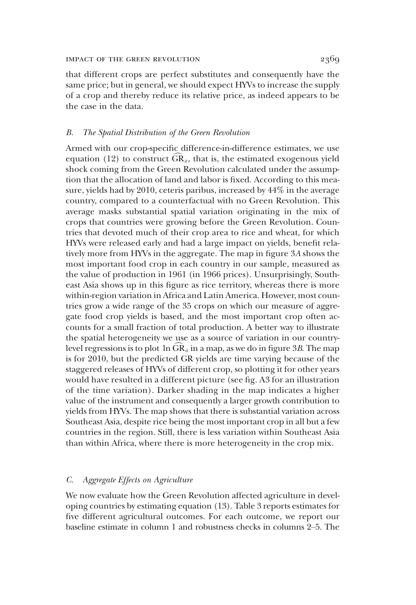that different crops are perfect substitutes and consequently have the same price; but in general, we should expect HYVs to increase the supply of a crop and thereby reduce its relative price, as indeed appears to be the case in the data.

#### *B. The Spatial Distribution of the Green Revolution*

Armed with our crop-specific difference-in-difference estimates, we use equation  $(12)$  to construct  $GR_{u}$ , that is, the estimated exogenous yield shock coming from the Green Revolution calculated under the assumption that the allocation of land and labor is fixed. According to this measure, yields had by 2010, ceteris paribus, increased by 44% in the average country, compared to a counterfactual with no Green Revolution. This average masks substantial spatial variation originating in the mix of crops that countries were growing before the Green Revolution. Countries that devoted much of their crop area to rice and wheat, for which HYVs were released early and had a large impact on yields, benefit relatively more from HYVs in the aggregate. The map in figure 3*A* shows the most important food crop in each country in our sample, measured as the value of production in 1961 (in 1966 prices). Unsurprisingly, Southeast Asia shows up in this figure as rice territory, whereas there is more within-region variation in Africa and Latin America. However, most countries grow a wide range of the 35 crops on which our measure of aggregate food crop yields is based, and the most important crop often accounts for a small fraction of total production. A better way to illustrate the spatial heterogeneity we use as a source of variation in our countrylevel regressions is to plot  $\ln \text{GR}_{\mu}$  in a map, as we do in figure 3*B*. The map is for 2010, but the predicted GR yields are time varying because of the staggered releases of HYVs of different crop, so plotting it for other years would have resulted in a different picture (see fig. A3 for an illustration of the time variation). Darker shading in the map indicates a higher value of the instrument and consequently a larger growth contribution to yields from HYVs. The map shows that there is substantial variation across Southeast Asia, despite rice being the most important crop in all but a few countries in the region. Still, there is less variation within Southeast Asia than within Africa, where there is more heterogeneity in the crop mix.

### *C. Aggregate Effects on Agriculture*

We now evaluate how the Green Revolution affected agriculture in developing countries by estimating equation (13). Table 3 reports estimates for five different agricultural outcomes. For each outcome, we report our baseline estimate in column 1 and robustness checks in columns 2–5. The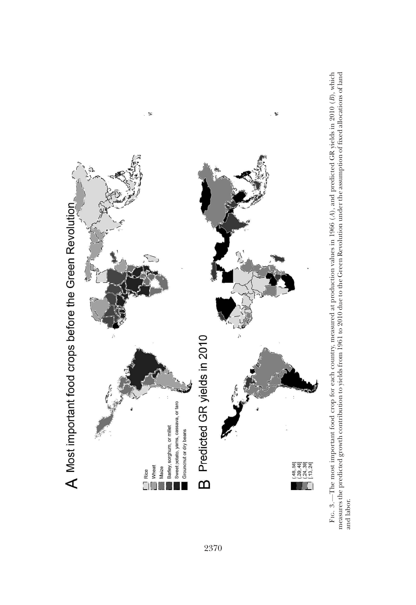

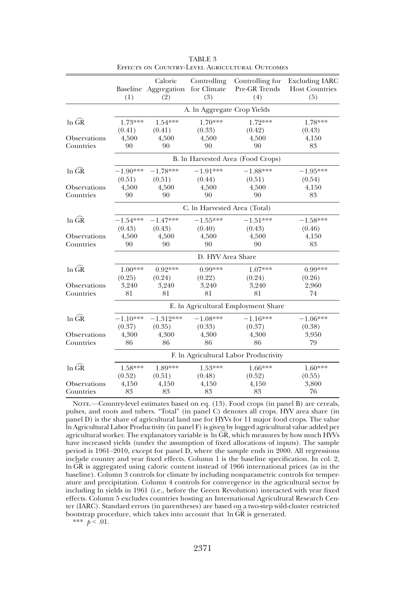|                     | (1)               | Caloric<br>Baseline Aggregation<br>(2) | Controlling<br>for Climate<br>(3) | Controlling for<br>Pre-GR Trends<br>(4) | <b>Excluding IARC</b><br><b>Host Countries</b><br>(5) |
|---------------------|-------------------|----------------------------------------|-----------------------------------|-----------------------------------------|-------------------------------------------------------|
|                     |                   |                                        | A. In Aggregate Crop Yields       |                                         |                                                       |
| $ln$ $GR$           | 1.73***<br>(0.41) | $1.54***$<br>(0.41)                    | $1.70***$<br>(0.33)               | 1.72***<br>(0.42)                       | 1.78***<br>(0.43)                                     |
| Observations        | 4,500             | 4,500                                  | 4,500                             | 4,500                                   | 4,150                                                 |
| Countries           | 90                | 90                                     | 90                                | 90                                      | 83                                                    |
|                     |                   |                                        |                                   | B. In Harvested Area (Food Crops)       |                                                       |
| $ln$ $\widehat{GR}$ | $-1.90***$        | $-1.78***$                             | $-1.91***$                        | $-1.88***$                              | $-1.95***$                                            |
|                     | (0.51)            | (0.51)                                 | (0.44)                            | (0.51)                                  | (0.54)                                                |
| Observations        | 4,500             | 4,500                                  | 4,500                             | 4,500                                   | 4,150                                                 |
| Countries           | 90                | 90                                     | 90                                | 90                                      | 83                                                    |
|                     |                   |                                        | C. In Harvested Area (Total)      |                                         |                                                       |
| $ln$ $\widehat{GR}$ | $-1.54***$        | $-1.47***$                             | $-1.55***$                        | $-1.51***$                              | $-1.58***$                                            |
|                     | (0.43)            | (0.43)                                 | (0.40)                            | (0.43)                                  | (0.46)                                                |
| Observations        | 4,500             | 4,500                                  | 4,500                             | 4,500                                   | 4,150                                                 |
| Countries           | 90                | 90                                     | 90                                | 90                                      | 83                                                    |
|                     |                   |                                        | D. HYV Area Share                 |                                         |                                                       |
| $ln$ $GR$           | $1.00***$         | $0.92***$                              | $0.99***$                         | 1.07***                                 | $0.99***$                                             |
|                     | (0.25)            | (0.24)                                 | (0.22)                            | (0.24)                                  | (0.26)                                                |
| Observations        | 3,240             | 3,240                                  | 3,240                             | 3,240                                   | 2,960                                                 |
| Countries           | 81                | 81                                     | 81                                | 81                                      | 74                                                    |
|                     |                   |                                        |                                   | E. In Agricultural Employment Share     |                                                       |
| $ln$ $\widehat{GR}$ | $-1.10***$        | $-1.312***$                            | $-1.08***$                        | $-1.16***$                              | $-1.06***$                                            |
|                     | (0.37)            | (0.35)                                 | (0.33)                            | (0.37)                                  | (0.38)                                                |
| Observations        | 4,300             | 4,300                                  | 4,300                             | 4,300                                   | 3,950                                                 |
| Countries           | 86                | 86                                     | 86                                | 86                                      | 79                                                    |
|                     |                   |                                        |                                   | F. In Agricultural Labor Productivity   |                                                       |
| $ln$ $GR$           | 1.58***           | $1.89***$                              | $1.53***$                         | 1.66***                                 | 1.60***                                               |
|                     | (0.52)            | (0.51)                                 | (0.48)                            | (0.52)                                  | (0.55)                                                |
| Observations        | 4,150             | 4,150                                  | 4,150                             | 4,150                                   | 3,800                                                 |
| Countries           | 83                | 83                                     | 83                                | 83                                      | 76                                                    |

TABLE 3 Effects on Country-Level Agricultural Outcomes

NOTE.—Country-level estimates based on eq. (13). Food crops (in panel B) are cereals, pulses, and roots and tubers. "Total" (in panel C) denotes all crops. HYV area share (in panel D) is the share of agricultural land use for HYVs for 11 major food crops. The value ln Agricultural Labor Productivity (in panel F) is given by logged agricultural value added per agricultural worker. The explanatory variable is  $\ln \widehat{GR}$ , which measures by how much HYVs have increased yields (under the assumption of fixed allocations of inputs). The sample period is 1961–2010, except for panel D, where the sample ends in 2000. All regressions include country and year fixed effects. Column 1 is the baseline specification. In col. 2, In  $\widehat{GR}$  is aggregated using caloric content instead of 1966 international prices (as in the baseline). Column 3 controls for climate by including nonparametric controls for temperature and precipitation. Column 4 controls for convergence in the agricultural sector by including ln yields in 1961 (i.e., before the Green Revolution) interacted with year fixed effects. Column 5 excludes countries hosting an International Agricultural Research Center (IARC). Standard errors (in parentheses) are based on a two-step wild-cluster restricted bootstrap procedure, which takes into account that  $\ln \widehat{GR}$  is generated.

\*\*\*  $p < .01$ .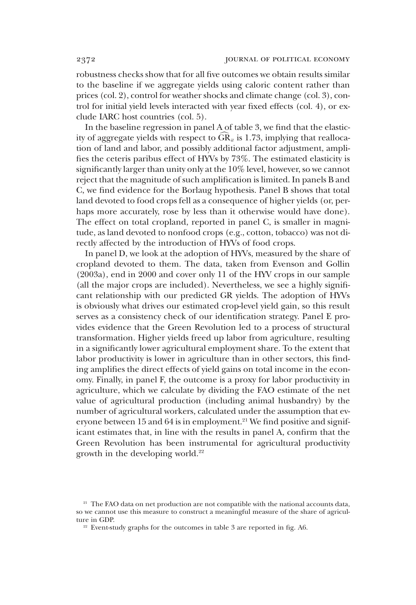robustness checks show that for all five outcomes we obtain results similar to the baseline if we aggregate yields using caloric content rather than prices (col. 2), control for weather shocks and climate change (col. 3), control for initial yield levels interacted with year fixed effects (col. 4), or exclude IARC host countries (col. 5).

In the baseline regression in panel A of table 3, we find that the elasticity of aggregate yields with respect to  $\widehat{GR}_{it}$  is 1.73, implying that reallocation of land and labor, and possibly additional factor adjustment, amplifies the ceteris paribus effect of HYVs by 73%. The estimated elasticity is significantly larger than unity only at the 10% level, however, so we cannot reject that the magnitude of such amplification is limited. In panels B and C, we find evidence for the Borlaug hypothesis. Panel B shows that total land devoted to food crops fell as a consequence of higher yields (or, perhaps more accurately, rose by less than it otherwise would have done). The effect on total cropland, reported in panel C, is smaller in magnitude, as land devoted to nonfood crops (e.g., cotton, tobacco) was not directly affected by the introduction of HYVs of food crops.

In panel D, we look at the adoption of HYVs, measured by the share of cropland devoted to them. The data, taken from Evenson and Gollin (2003a), end in 2000 and cover only 11 of the HYV crops in our sample (all the major crops are included). Nevertheless, we see a highly significant relationship with our predicted GR yields. The adoption of HYVs is obviously what drives our estimated crop-level yield gain, so this result serves as a consistency check of our identification strategy. Panel E provides evidence that the Green Revolution led to a process of structural transformation. Higher yields freed up labor from agriculture, resulting in a significantly lower agricultural employment share. To the extent that labor productivity is lower in agriculture than in other sectors, this finding amplifies the direct effects of yield gains on total income in the economy. Finally, in panel F, the outcome is a proxy for labor productivity in agriculture, which we calculate by dividing the FAO estimate of the net value of agricultural production (including animal husbandry) by the number of agricultural workers, calculated under the assumption that everyone between 15 and 64 is in employment.<sup>21</sup> We find positive and significant estimates that, in line with the results in panel A, confirm that the Green Revolution has been instrumental for agricultural productivity growth in the developing world. $22$ 

<sup>&</sup>lt;sup>21</sup> The FAO data on net production are not compatible with the national accounts data, so we cannot use this measure to construct a meaningful measure of the share of agriculture in GDP.

<sup>&</sup>lt;sup>22</sup> Event-study graphs for the outcomes in table 3 are reported in fig. A6.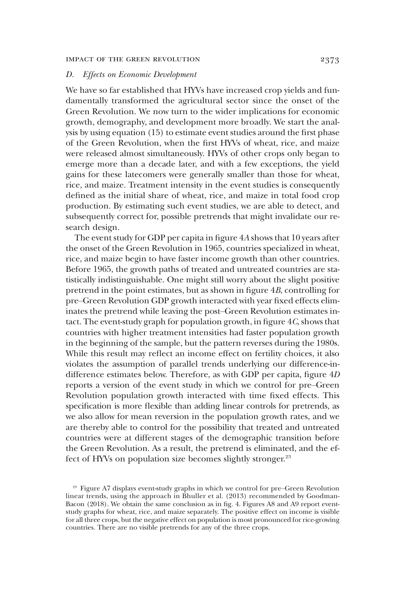### *D. Effects on Economic Development*

We have so far established that HYVs have increased crop yields and fundamentally transformed the agricultural sector since the onset of the Green Revolution. We now turn to the wider implications for economic growth, demography, and development more broadly. We start the analysis by using equation (15) to estimate event studies around the first phase of the Green Revolution, when the first HYVs of wheat, rice, and maize were released almost simultaneously. HYVs of other crops only began to emerge more than a decade later, and with a few exceptions, the yield gains for these latecomers were generally smaller than those for wheat, rice, and maize. Treatment intensity in the event studies is consequently defined as the initial share of wheat, rice, and maize in total food crop production. By estimating such event studies, we are able to detect, and subsequently correct for, possible pretrends that might invalidate our research design.

The event study for GDP per capita in figure 4*A* shows that 10 years after the onset of the Green Revolution in 1965, countries specialized in wheat, rice, and maize begin to have faster income growth than other countries. Before 1965, the growth paths of treated and untreated countries are statistically indistinguishable. One might still worry about the slight positive pretrend in the point estimates, but as shown in figure 4*B*, controlling for pre–Green Revolution GDP growth interacted with year fixed effects eliminates the pretrend while leaving the post–Green Revolution estimates intact. The event-study graph for population growth, in figure 4*C*, shows that countries with higher treatment intensities had faster population growth in the beginning of the sample, but the pattern reverses during the 1980s. While this result may reflect an income effect on fertility choices, it also violates the assumption of parallel trends underlying our difference-indifference estimates below. Therefore, as with GDP per capita, figure 4*D* reports a version of the event study in which we control for pre–Green Revolution population growth interacted with time fixed effects. This specification is more flexible than adding linear controls for pretrends, as we also allow for mean reversion in the population growth rates, and we are thereby able to control for the possibility that treated and untreated countries were at different stages of the demographic transition before the Green Revolution. As a result, the pretrend is eliminated, and the effect of HYVs on population size becomes slightly stronger.<sup>23</sup>

<sup>&</sup>lt;sup>23</sup> Figure A7 displays event-study graphs in which we control for pre–Green Revolution linear trends, using the approach in Bhuller et al. (2013) recommended by Goodman-Bacon (2018). We obtain the same conclusion as in fig. 4. Figures A8 and A9 report eventstudy graphs for wheat, rice, and maize separately. The positive effect on income is visible for all three crops, but the negative effect on population is most pronounced for rice-growing countries. There are no visible pretrends for any of the three crops.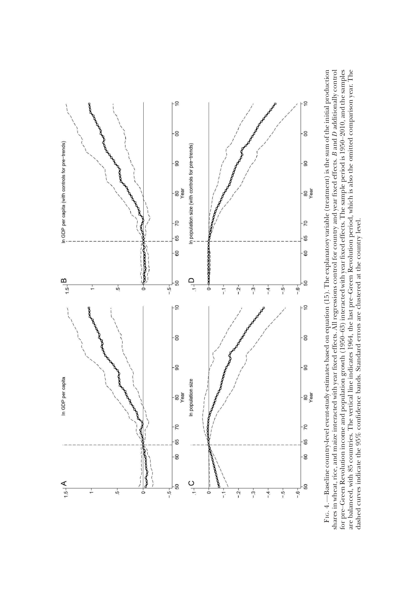

are balanced, with 85 countries. The vertical line indicates 1964, the last pre-Green Revolution period, which is also the omitted comparison year. The<br>dashed curves indicate the 95% confidence bands. Standard errors are c Fig. 4.—Baseline country-level event-study estimates based on equation  $(15)$ . The explanatory variable (treatment) is the sum of the initial production —Baseline country-level event-study estimates based on equation (15). The explanatory variable (treatment) is the sum of the initial production *D* additionally control for pre–Green Revolution income and population growth (1950–63) interacted with year fixed effects. The sample period is 1950–2010, and the samples are balanced, with 85 countries. The vertical line indicates 1964, the last pre–Green Revolution period, which is also the omitted comparison year. The *B* and shares in wheat, rice, and maize interacted with year fixed effects. All regressions control for country and year fixed effects. dashed curves indicate the 95% confidence bands. Standard errors are clustered at the country level.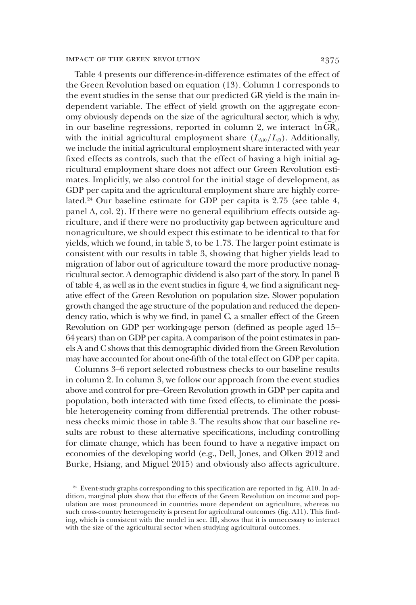Table 4 presents our difference-in-difference estimates of the effect of the Green Revolution based on equation (13). Column 1 corresponds to the event studies in the sense that our predicted GR yield is the main independent variable. The effect of yield growth on the aggregate economy obviously depends on the size of the agricultural sector, which is why, in our baseline regressions, reported in column 2, we interact  $\ln \widehat{GR}_{it}$ with the initial agricultural employment share  $(L_{Ai0}/L_{i0})$ . Additionally, we include the initial agricultural employment share interacted with year fixed effects as controls, such that the effect of having a high initial agricultural employment share does not affect our Green Revolution estimates. Implicitly, we also control for the initial stage of development, as GDP per capita and the agricultural employment share are highly correlated.<sup>24</sup> Our baseline estimate for GDP per capita is 2.75 (see table 4, panel A, col. 2). If there were no general equilibrium effects outside agriculture, and if there were no productivity gap between agriculture and nonagriculture, we should expect this estimate to be identical to that for yields, which we found, in table 3, to be 1.73. The larger point estimate is consistent with our results in table 3, showing that higher yields lead to migration of labor out of agriculture toward the more productive nonagricultural sector. A demographic dividend is also part of the story. In panel B of table 4, as well as in the event studies in figure 4, we find a significant negative effect of the Green Revolution on population size. Slower population growth changed the age structure of the population and reduced the dependency ratio, which is why we find, in panel C, a smaller effect of the Green Revolution on GDP per working-age person (defined as people aged 15– 64 years) than on GDP per capita. A comparison of the point estimates in panels A and C shows that this demographic divided from the Green Revolution may have accounted for about one-fifth of the total effect on GDP per capita.

Columns 3–6 report selected robustness checks to our baseline results in column 2. In column 3, we follow our approach from the event studies above and control for pre–Green Revolution growth in GDP per capita and population, both interacted with time fixed effects, to eliminate the possible heterogeneity coming from differential pretrends. The other robustness checks mimic those in table 3. The results show that our baseline results are robust to these alternative specifications, including controlling for climate change, which has been found to have a negative impact on economies of the developing world (e.g., Dell, Jones, and Olken 2012 and Burke, Hsiang, and Miguel 2015) and obviously also affects agriculture.

<sup>&</sup>lt;sup>24</sup> Event-study graphs corresponding to this specification are reported in fig. A10. In addition, marginal plots show that the effects of the Green Revolution on income and population are most pronounced in countries more dependent on agriculture, whereas no such cross-country heterogeneity is present for agricultural outcomes (fig. A11). This finding, which is consistent with the model in sec. III, shows that it is unnecessary to interact with the size of the agricultural sector when studying agricultural outcomes.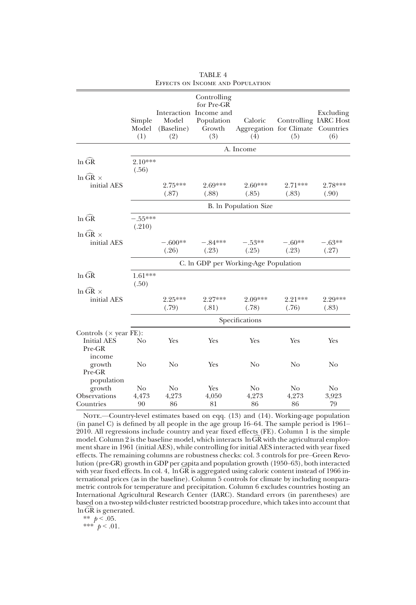|                                                              | Simple<br>Model<br>(1) | Model<br>(Baseline)<br>(2)    | Controlling<br>for Pre-GR<br>Interaction Income and<br>Population<br>Growth<br>(3) | Caloric<br>Aggregation for Climate Countries<br>(4) | Controlling IARC Host<br>(5)  | Excluding<br>(6)  |  |
|--------------------------------------------------------------|------------------------|-------------------------------|------------------------------------------------------------------------------------|-----------------------------------------------------|-------------------------------|-------------------|--|
|                                                              |                        |                               |                                                                                    | A. Income                                           |                               |                   |  |
| $ln$ $GR$<br>$\ln$ GR $\times$                               | $2.10***$<br>(.56)     |                               |                                                                                    |                                                     |                               |                   |  |
| initial AES                                                  |                        | $2.75***$<br>(.87)            | 2.69***<br>(.88)                                                                   | $2.60***$<br>(.85)                                  | $2.71***$<br>(.83)            | 2.78***<br>(.90)  |  |
|                                                              |                        |                               |                                                                                    | B. In Population Size                               |                               |                   |  |
| $ln$ $\widehat{GR}$<br>$\ln$ GR $\times$                     | $-.55***$<br>(.210)    |                               |                                                                                    |                                                     |                               |                   |  |
| initial AES                                                  |                        | $-.600**$<br>(.26)            | $-.84***$<br>(.23)                                                                 | $-.53**$<br>(.25)                                   | $-.60**$<br>(.23)             | $-.63**$<br>(.27) |  |
|                                                              |                        |                               |                                                                                    | C. In GDP per Working-Age Population                |                               |                   |  |
| $ln$ $GR$<br>$\ln$ GR $\times$<br>initial AES                | $1.61***$<br>(.50)     |                               |                                                                                    |                                                     |                               |                   |  |
|                                                              |                        | $2.25***$<br>(.79)            | 2.27***<br>(.81)                                                                   | $2.09***$<br>(.78)                                  | $2.21***$<br>(.76)            | 2.29***<br>(.83)  |  |
|                                                              | Specifications         |                               |                                                                                    |                                                     |                               |                   |  |
| Controls $(\times$ year FE):<br><b>Initial AES</b><br>Pre-GR | No                     | Yes                           | Yes                                                                                | Yes                                                 | Yes                           | Yes               |  |
| income<br>growth<br>Pre-GR                                   | N <sub>o</sub>         | N <sub>o</sub>                | Yes                                                                                | No                                                  | N <sub>o</sub>                | N <sub>o</sub>    |  |
| population<br>growth<br>Observations<br>Countries            | No<br>4,473<br>90      | N <sub>o</sub><br>4,273<br>86 | Yes<br>4,050<br>81                                                                 | N <sub>o</sub><br>4,273<br>86                       | N <sub>0</sub><br>4,273<br>86 | No<br>3,923<br>79 |  |

TABLE 4 Effects on Income and Population

NOTE.—Country-level estimates based on eqq. (13) and (14). Working-age population (in panel C) is defined by all people in the age group 16–64. The sample period is 1961– 2010. All regressions include country and year fixed effects (FE). Column 1 is the simple model. Column 2 is the baseline model, which interacts  $\ln \widehat{GR}$  with the agricultural employment share in 1961 (initial AES), while controlling for initial AES interacted with year fixed effects. The remaining columns are robustness checks: col. 3 controls for pre–Green Revolution (pre-GR) growth in GDP per capita and population growth (1950–63), both interacted with year fixed effects. In col. 4,  $\ln$  GR is aggregated using caloric content instead of 1966 international prices (as in the baseline). Column 5 controls for climate by including nonparametric controls for temperature and precipitation. Column 6 excludes countries hosting an International Agricultural Research Center (IARC). Standard errors (in parentheses) are based on a two-step wild-cluster restricted bootstrap procedure, which takes into account that  $\ln$ GR is generated.

\*\*  $p < .05$ .

\*\*\* $^{'}p < .01$ .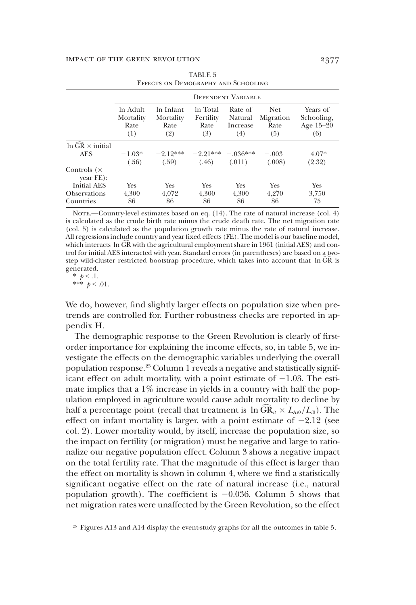|                                    |                                      |                                       |                                      | DEPENDENT VARIABLE                    |                                  |                                              |
|------------------------------------|--------------------------------------|---------------------------------------|--------------------------------------|---------------------------------------|----------------------------------|----------------------------------------------|
|                                    | ln Adult<br>Mortality<br>Rate<br>(1) | In Infant<br>Mortality<br>Rate<br>(2) | In Total<br>Fertility<br>Rate<br>(3) | Rate of<br>Natural<br>Increase<br>(4) | Net.<br>Migration<br>Rate<br>(5) | Years of<br>Schooling,<br>Age $15-20$<br>(6) |
| In $\widehat{GR}$ $\times$ initial |                                      |                                       |                                      |                                       |                                  |                                              |
| <b>AES</b>                         | $-1.03*$                             | $-2.12***$                            | $-9.91***$                           | $-0.36***$                            | $-.003$                          | $4.07*$                                      |
|                                    | (.56)                                | (.59)                                 | (.46)                                | (.011)                                | (.008)                           | (2.32)                                       |
| Controls $(x)$<br>$year$ FE $):$   |                                      |                                       |                                      |                                       |                                  |                                              |
| Initial AES                        | Yes                                  | <b>Yes</b>                            | <b>Yes</b>                           | Yes                                   | <b>Yes</b>                       | <b>Yes</b>                                   |
| <b>Observations</b>                | 4.300                                | 4.072                                 | 4.300                                | 4.300                                 | 4.270                            | 3,750                                        |
| Countries                          | 86                                   | 86                                    | 86                                   | 86                                    | 86                               | 75                                           |

TABLE 5 Effects on Demography and Schooling

NOTE.—Country-level estimates based on eq. (14). The rate of natural increase (col. 4) is calculated as the crude birth rate minus the crude death rate. The net migration rate (col. 5) is calculated as the population growth rate minus the rate of natural increase. All regressions include country and year fixed effects (FE). The model is our baseline model, which interacts ln GR with the agricultural employment share in 1961 (initial AES) and control for initial AES interacted with year. Standard errors (in parentheses) are based on a twostep wild-cluster restricted bootstrap procedure, which takes into account that  $\ln \widehat{GR}$  is generated.

 $\frac{k}{p} < 1$ .

\*\*\*  $p < .01$ .

We do, however, find slightly larger effects on population size when pretrends are controlled for. Further robustness checks are reported in appendix H.

The demographic response to the Green Revolution is clearly of firstorder importance for explaining the income effects, so, in table 5, we investigate the effects on the demographic variables underlying the overall population response.<sup>25</sup> Column 1 reveals a negative and statistically significant effect on adult mortality, with a point estimate of  $-1.03$ . The estimate implies that a 1% increase in yields in a country with half the population employed in agriculture would cause adult mortality to decline by half a percentage point (recall that treatment is  $\ln GR_{it} \times L_{Ai0}/L_{i0}$ ). The effect on infant mortality is larger, with a point estimate of  $-2.12$  (see col. 2). Lower mortality would, by itself, increase the population size, so the impact on fertility (or migration) must be negative and large to rationalize our negative population effect. Column 3 shows a negative impact on the total fertility rate. That the magnitude of this effect is larger than the effect on mortality is shown in column 4, where we find a statistically significant negative effect on the rate of natural increase (i.e., natural population growth). The coefficient is  $-0.036$ . Column 5 shows that net migration rates were unaffected by the Green Revolution, so the effect

<sup>&</sup>lt;sup>25</sup> Figures A13 and A14 display the event-study graphs for all the outcomes in table 5.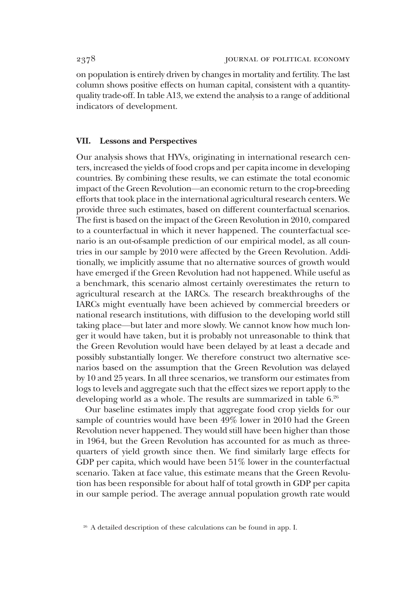on population is entirely driven by changes in mortality and fertility. The last column shows positive effects on human capital, consistent with a quantityquality trade-off. In table A13, we extend the analysis to a range of additional indicators of development.

### VII. Lessons and Perspectives

Our analysis shows that HYVs, originating in international research centers, increased the yields of food crops and per capita income in developing countries. By combining these results, we can estimate the total economic impact of the Green Revolution—an economic return to the crop-breeding efforts that took place in the international agricultural research centers. We provide three such estimates, based on different counterfactual scenarios. The first is based on the impact of the Green Revolution in 2010, compared to a counterfactual in which it never happened. The counterfactual scenario is an out-of-sample prediction of our empirical model, as all countries in our sample by 2010 were affected by the Green Revolution. Additionally, we implicitly assume that no alternative sources of growth would have emerged if the Green Revolution had not happened. While useful as a benchmark, this scenario almost certainly overestimates the return to agricultural research at the IARCs. The research breakthroughs of the IARCs might eventually have been achieved by commercial breeders or national research institutions, with diffusion to the developing world still taking place—but later and more slowly. We cannot know how much longer it would have taken, but it is probably not unreasonable to think that the Green Revolution would have been delayed by at least a decade and possibly substantially longer. We therefore construct two alternative scenarios based on the assumption that the Green Revolution was delayed by 10 and 25 years. In all three scenarios, we transform our estimates from logs to levels and aggregate such that the effect sizes we report apply to the developing world as a whole. The results are summarized in table 6.<sup>26</sup>

Our baseline estimates imply that aggregate food crop yields for our sample of countries would have been 49% lower in 2010 had the Green Revolution never happened. They would still have been higher than those in 1964, but the Green Revolution has accounted for as much as threequarters of yield growth since then. We find similarly large effects for GDP per capita, which would have been 51% lower in the counterfactual scenario. Taken at face value, this estimate means that the Green Revolution has been responsible for about half of total growth in GDP per capita in our sample period. The average annual population growth rate would

<sup>&</sup>lt;sup>26</sup> A detailed description of these calculations can be found in app. I.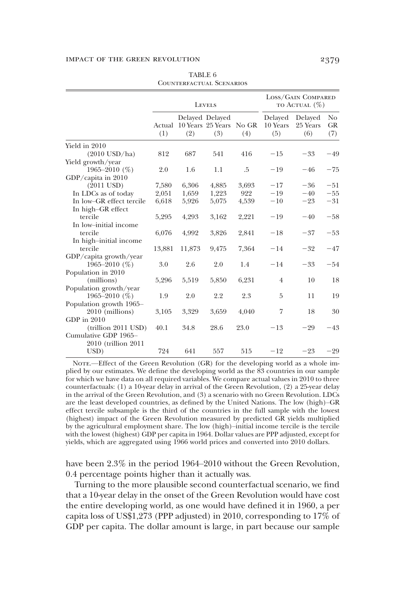|                          | <b>LEVELS</b> |        |                                                   | LOSS/GAIN COMPARED<br>TO ACTUAL $(\%)$ |                            |                            |                         |
|--------------------------|---------------|--------|---------------------------------------------------|----------------------------------------|----------------------------|----------------------------|-------------------------|
|                          | Actual<br>(1) | (2)    | Delayed Delayed<br>10 Years 25 Years No GR<br>(3) | (4)                                    | Delayed<br>10 Years<br>(5) | Delayed<br>25 Years<br>(6) | No.<br><b>GR</b><br>(7) |
| Yield in 2010            |               |        |                                                   |                                        |                            |                            |                         |
| $(2010$ USD/ha)          | 812           | 687    | 541                                               | 416                                    | $-15$                      | $-33$                      | $-49$                   |
| Yield growth/year        |               |        |                                                   |                                        |                            |                            |                         |
| 1965-2010 $(\%)$         | 2.0           | 1.6    | 1.1                                               | .5                                     | $-19$                      | $-46$                      | $-75$                   |
| GDP/capita in 2010       |               |        |                                                   |                                        |                            |                            |                         |
| $(2011$ USD)             | 7,580         | 6,306  | 4,885                                             | 3,693                                  | $-17$                      | $-36$                      | $-51$                   |
| In LDCs as of today      | 2,051         | 1,659  | 1,223                                             | 922                                    | $-19$                      | $-40$                      | $-55$                   |
| In low-GR effect tercile | 6,618         | 5,926  | 5,075                                             | 4,539                                  | $-10$                      | $-23$                      | $-31$                   |
| In high-GR effect        |               |        |                                                   |                                        |                            |                            |                         |
| tercile                  | 5,295         | 4,293  | 3,162                                             | 2,221                                  | $-19$                      | $-40$                      | $-58$                   |
| In low-initial income    |               |        |                                                   |                                        |                            |                            |                         |
| tercile                  | 6,076         | 4,992  | 3,826                                             | 2,841                                  | $-18$                      | $-37$                      | $-53$                   |
| In high-initial income   |               |        |                                                   |                                        |                            |                            |                         |
| tercile                  | 13,881        | 11,873 | 9,475                                             | 7,364                                  | $-14$                      | $-32$                      | $-47$                   |
| GDP/capita growth/year   |               |        |                                                   |                                        |                            |                            |                         |
| 1965–2010 $(\%)$         | 3.0           | 2.6    | 2.0                                               | 1.4                                    | $-14$                      | $-33$                      | $-54$                   |
| Population in 2010       |               |        |                                                   |                                        |                            |                            |                         |
| (millions)               | 5,296         | 5,519  | 5,850                                             | 6,231                                  | $\overline{4}$             | 10                         | 18                      |
| Population growth/year   |               |        |                                                   |                                        |                            |                            |                         |
| 1965–2010 $(\%)$         | 1.9           | 2.0    | 2.2                                               | 2.3                                    | 5                          | 11                         | 19                      |
| Population growth 1965-  |               |        |                                                   |                                        |                            |                            |                         |
| 2010 (millions)          | 3,105         | 3,329  | 3,659                                             | 4.040                                  | 7                          | 18                         | 30                      |
| GDP in 2010              |               |        |                                                   |                                        |                            |                            |                         |
| $-trillion 2011 USD)$    | 40.1          | 34.8   | 28.6                                              | 23.0                                   | $-13$                      | $-29$                      | $-43$                   |
| Cumulative GDP 1965-     |               |        |                                                   |                                        |                            |                            |                         |
| 2010 (trillion 2011)     |               |        |                                                   |                                        |                            |                            |                         |
| USD)                     | 724           | 641    | 557                                               | 515                                    | $-12$                      | $-23$                      | $-29$                   |

TABLE 6 Counterfactual Scenarios

NOTE.—Effect of the Green Revolution (GR) for the developing world as a whole implied by our estimates. We define the developing world as the 83 countries in our sample for which we have data on all required variables. We compare actual values in 2010 to three counterfactuals: (1) a 10-year delay in arrival of the Green Revolution, (2) a 25-year delay in the arrival of the Green Revolution, and (3) a scenario with no Green Revolution. LDCs are the least developed countries, as defined by the United Nations. The low (high)–GR effect tercile subsample is the third of the countries in the full sample with the lowest (highest) impact of the Green Revolution measured by predicted GR yields multiplied by the agricultural employment share. The low (high)–initial income tercile is the tercile with the lowest (highest) GDP per capita in 1964. Dollar values are PPP adjusted, except for yields, which are aggregated using 1966 world prices and converted into 2010 dollars.

have been 2.3% in the period 1964–2010 without the Green Revolution, 0.4 percentage points higher than it actually was.

Turning to the more plausible second counterfactual scenario, we find that a 10-year delay in the onset of the Green Revolution would have cost the entire developing world, as one would have defined it in 1960, a per capita loss of US\$1,273 (PPP adjusted) in 2010, corresponding to 17% of GDP per capita. The dollar amount is large, in part because our sample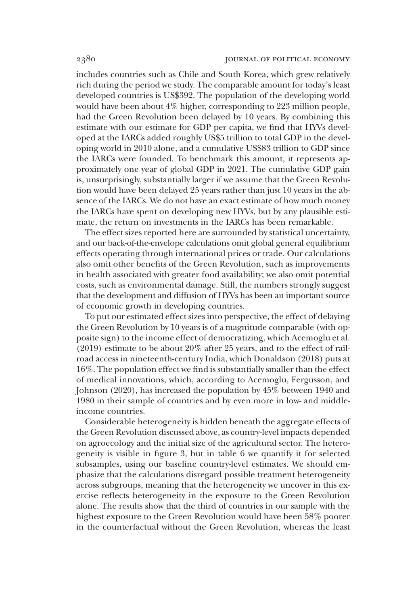includes countries such as Chile and South Korea, which grew relatively rich during the period we study. The comparable amount for today's least developed countries is US\$392. The population of the developing world would have been about 4% higher, corresponding to 223 million people, had the Green Revolution been delayed by 10 years. By combining this estimate with our estimate for GDP per capita, we find that HYVs developed at the IARCs added roughly US\$5 trillion to total GDP in the developing world in 2010 alone, and a cumulative US\$83 trillion to GDP since the IARCs were founded. To benchmark this amount, it represents approximately one year of global GDP in 2021. The cumulative GDP gain is, unsurprisingly, substantially larger if we assume that the Green Revolution would have been delayed 25 years rather than just 10 years in the absence of the IARCs. We do not have an exact estimate of how much money the IARCs have spent on developing new HYVs, but by any plausible estimate, the return on investments in the IARCs has been remarkable.

The effect sizes reported here are surrounded by statistical uncertainty, and our back-of-the-envelope calculations omit global general equilibrium effects operating through international prices or trade. Our calculations also omit other benefits of the Green Revolution, such as improvements in health associated with greater food availability; we also omit potential costs, such as environmental damage. Still, the numbers strongly suggest that the development and diffusion of HYVs has been an important source of economic growth in developing countries.

To put our estimated effect sizes into perspective, the effect of delaying the Green Revolution by 10 years is of a magnitude comparable (with opposite sign) to the income effect of democratizing, which Acemoglu et al. (2019) estimate to be about 20% after 25 years, and to the effect of railroad access in nineteenth-century India, which Donaldson (2018) puts at 16%. The population effect we find is substantially smaller than the effect of medical innovations, which, according to Acemoglu, Fergusson, and Johnson (2020), has increased the population by 45% between 1940 and 1980 in their sample of countries and by even more in low- and middleincome countries.

Considerable heterogeneity is hidden beneath the aggregate effects of the Green Revolution discussed above, as country-level impacts depended on agroecology and the initial size of the agricultural sector. The heterogeneity is visible in figure 3, but in table 6 we quantify it for selected subsamples, using our baseline country-level estimates. We should emphasize that the calculations disregard possible treatment heterogeneity across subgroups, meaning that the heterogeneity we uncover in this exercise reflects heterogeneity in the exposure to the Green Revolution alone. The results show that the third of countries in our sample with the highest exposure to the Green Revolution would have been 58% poorer in the counterfactual without the Green Revolution, whereas the least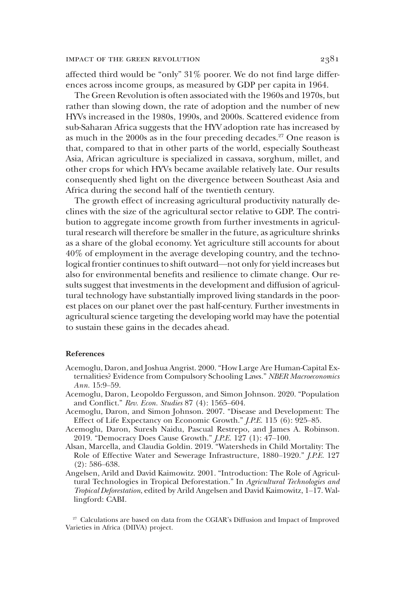affected third would be "only" 31% poorer. We do not find large differences across income groups, as measured by GDP per capita in 1964.

The Green Revolution is often associated with the 1960s and 1970s, but rather than slowing down, the rate of adoption and the number of new HYVs increased in the 1980s, 1990s, and 2000s. Scattered evidence from sub-Saharan Africa suggests that the HYV adoption rate has increased by as much in the 2000s as in the four preceding decades.<sup>27</sup> One reason is that, compared to that in other parts of the world, especially Southeast Asia, African agriculture is specialized in cassava, sorghum, millet, and other crops for which HYVs became available relatively late. Our results consequently shed light on the divergence between Southeast Asia and Africa during the second half of the twentieth century.

The growth effect of increasing agricultural productivity naturally declines with the size of the agricultural sector relative to GDP. The contribution to aggregate income growth from further investments in agricultural research will therefore be smaller in the future, as agriculture shrinks as a share of the global economy. Yet agriculture still accounts for about 40% of employment in the average developing country, and the technological frontier continues to shift outward—not only for yield increases but also for environmental benefits and resilience to climate change. Our results suggest that investments in the development and diffusion of agricultural technology have substantially improved living standards in the poorest places on our planet over the past half-century. Further investments in agricultural science targeting the developing world may have the potential to sustain these gains in the decades ahead.

#### References

- Acemoglu, Daron, and Joshua Angrist. 2000. "How Large Are Human-Capital Externalities? Evidence from Compulsory Schooling Laws." *NBER Macroeconomics Ann.* 15:9–59.
- Acemoglu, Daron, Leopoldo Fergusson, and Simon Johnson. 2020. "Population and Conflict." *Rev. Econ. Studies* 87 (4): 1565–604.
- Acemoglu, Daron, and Simon Johnson. 2007. "Disease and Development: The Effect of Life Expectancy on Economic Growth." *J.P.E.* 115 (6): 925–85.
- Acemoglu, Daron, Suresh Naidu, Pascual Restrepo, and James A. Robinson. 2019. "Democracy Does Cause Growth." *J.P.E.* 127 (1): 47–100.
- Alsan, Marcella, and Claudia Goldin. 2019. "Watersheds in Child Mortality: The Role of Effective Water and Sewerage Infrastructure, 1880–1920." *J.P.E.* 127 (2): 586–638.
- Angelsen, Arild and David Kaimowitz. 2001. "Introduction: The Role of Agricultural Technologies in Tropical Deforestation." In *Agricultural Technologies and Tropical Deforestation*, edited by Arild Angelsen and David Kaimowitz, 1–17. Wallingford: CABI.

<sup>27</sup> Calculations are based on data from the CGIAR's Diffusion and Impact of Improved Varieties in Africa (DIIVA) project.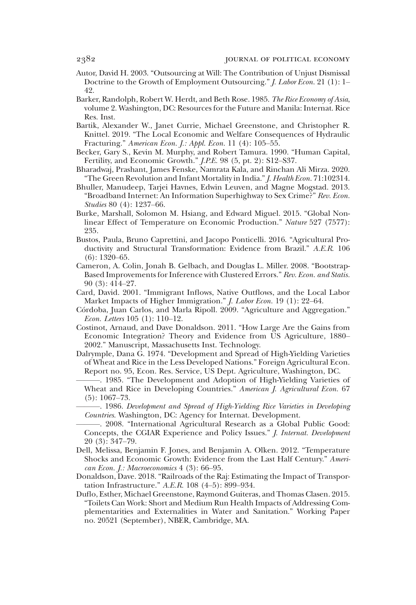- Autor, David H. 2003. "Outsourcing at Will: The Contribution of Unjust Dismissal Doctrine to the Growth of Employment Outsourcing." *J. Labor Econ.* 21 (1): 1– 42.
- Barker, Randolph, Robert W. Herdt, and Beth Rose. 1985. *The Rice Economy of Asia*, volume 2. Washington, DC: Resources for the Future and Manila: Internat. Rice Res. Inst.
- Bartik, Alexander W., Janet Currie, Michael Greenstone, and Christopher R. Knittel. 2019. "The Local Economic and Welfare Consequences of Hydraulic Fracturing." *American Econ. J.: Appl. Econ.* 11 (4): 105–55.
- Becker, Gary S., Kevin M. Murphy, and Robert Tamura. 1990. "Human Capital, Fertility, and Economic Growth." *J.P.E.* 98 (5, pt. 2): S12–S37.
- Bharadwaj, Prashant, James Fenske, Namrata Kala, and Rinchan Ali Mirza. 2020. "The Green Revolution and Infant Mortality in India."*J. Health Econ.* 71:102314.
- Bhuller, Manudeep, Tarjei Havnes, Edwin Leuven, and Magne Mogstad. 2013. "Broadband Internet: An Information Superhighway to Sex Crime?" *Rev. Econ. Studies* 80 (4): 1237–66.
- Burke, Marshall, Solomon M. Hsiang, and Edward Miguel. 2015. "Global Nonlinear Effect of Temperature on Economic Production." *Nature* 527 (7577): 235.
- Bustos, Paula, Bruno Caprettini, and Jacopo Ponticelli. 2016. "Agricultural Productivity and Structural Transformation: Evidence from Brazil." *A.E.R.* 106 (6): 1320–65.
- Cameron, A. Colin, Jonah B. Gelbach, and Douglas L. Miller. 2008. "Bootstrap-Based Improvements for Inference with Clustered Errors." *Rev. Econ. and Statis.* 90 (3): 414–27.
- Card, David. 2001. "Immigrant Inflows, Native Outflows, and the Local Labor Market Impacts of Higher Immigration." *J. Labor Econ.* 19 (1): 22–64.
- Córdoba, Juan Carlos, and Marla Ripoll. 2009. "Agriculture and Aggregation." *Econ. Letters* 105 (1): 110–12.
- Costinot, Arnaud, and Dave Donaldson. 2011. "How Large Are the Gains from Economic Integration? Theory and Evidence from US Agriculture, 1880– 2002." Manuscript, Massachusetts Inst. Technology.
- Dalrymple, Dana G. 1974. "Development and Spread of High-Yielding Varieties of Wheat and Rice in the Less Developed Nations." Foreign Agricultural Econ. Report no. 95, Econ. Res. Service, US Dept. Agriculture, Washington, DC.
	- ———. 1985. "The Development and Adoption of High-Yielding Varieties of Wheat and Rice in Developing Countries." *American J. Agricultural Econ.* 67 (5): 1067–73.
	- ———. 1986. *Development and Spread of High-Yielding Rice Varieties in Developing Countries*. Washington, DC: Agency for Internat. Development.
	- ———. 2008. "International Agricultural Research as a Global Public Good: Concepts, the CGIAR Experience and Policy Issues." *J. Internat. Development* 20 (3): 347–79.
- Dell, Melissa, Benjamin F. Jones, and Benjamin A. Olken. 2012. "Temperature Shocks and Economic Growth: Evidence from the Last Half Century." *American Econ. J.: Macroeconomics* 4 (3): 66–95.
- Donaldson, Dave. 2018. "Railroads of the Raj: Estimating the Impact of Transportation Infrastructure." *A.E.R.* 108 (4–5): 899–934.
- Duflo, Esther, Michael Greenstone, Raymond Guiteras, and Thomas Clasen. 2015. "Toilets Can Work: Short and Medium Run Health Impacts of Addressing Complementarities and Externalities in Water and Sanitation." Working Paper no. 20521 (September), NBER, Cambridge, MA.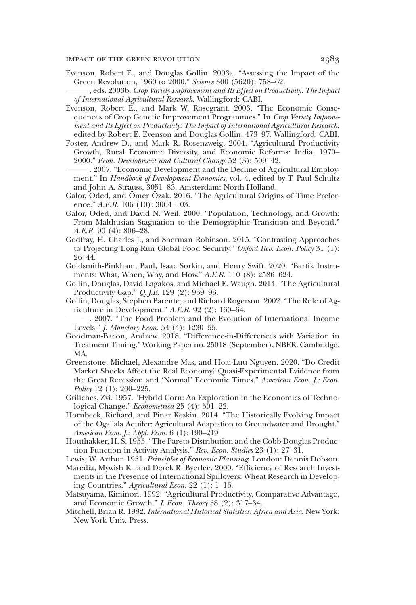- Evenson, Robert E., and Douglas Gollin. 2003a. "Assessing the Impact of the Green Revolution, 1960 to 2000." *Science* 300 (5620): 758–62.
- ———, eds. 2003b. *Crop Variety Improvement and Its Effect on Productivity: The Impact of International Agricultural Research*. Wallingford: CABI.
- Evenson, Robert E., and Mark W. Rosegrant. 2003. "The Economic Consequences of Crop Genetic Improvement Programmes." In *Crop Variety Improvement and Its Effect on Productivity: The Impact of International Agricultural Research*, edited by Robert E. Evenson and Douglas Gollin, 473–97. Wallingford: CABI.
- Foster, Andrew D., and Mark R. Rosenzweig. 2004. "Agricultural Productivity Growth, Rural Economic Diversity, and Economic Reforms: India, 1970– 2000." *Econ. Development and Cultural Change* 52 (3): 509–42.
- ———. 2007. "Economic Development and the Decline of Agricultural Employment." In *Handbook of Development Economics*, vol. 4, edited by T. Paul Schultz and John A. Strauss, 3051–83. Amsterdam: North-Holland.
- Galor, Oded, and Ömer Özak. 2016. "The Agricultural Origins of Time Preference." *A.E.R.* 106 (10): 3064–103.
- Galor, Oded, and David N. Weil. 2000. "Population, Technology, and Growth: From Malthusian Stagnation to the Demographic Transition and Beyond." *A.E.R.* 90 (4): 806–28.
- Godfray, H. Charles J., and Sherman Robinson. 2015. "Contrasting Approaches to Projecting Long-Run Global Food Security." *Oxford Rev. Econ. Policy* 31 (1): 26–44.
- Goldsmith-Pinkham, Paul, Isaac Sorkin, and Henry Swift. 2020. "Bartik Instruments: What, When, Why, and How." *A.E.R.* 110 (8): 2586–624.
- Gollin, Douglas, David Lagakos, and Michael E. Waugh. 2014. "The Agricultural Productivity Gap." *Q. J.E.* 129 (2): 939–93.
- Gollin, Douglas, Stephen Parente, and Richard Rogerson. 2002. "The Role of Agriculture in Development." *A.E.R.* 92 (2): 160–64.
- ———. 2007. "The Food Problem and the Evolution of International Income Levels." *J. Monetary Econ.* 54 (4): 1230–55.
- Goodman-Bacon, Andrew. 2018. "Difference-in-Differences with Variation in Treatment Timing." Working Paper no. 25018 (September), NBER. Cambridge, MA.
- Greenstone, Michael, Alexandre Mas, and Hoai-Luu Nguyen. 2020. "Do Credit Market Shocks Affect the Real Economy? Quasi-Experimental Evidence from the Great Recession and 'Normal' Economic Times." *American Econ. J.: Econ. Policy* 12 (1): 200–225.
- Griliches, Zvi. 1957. "Hybrid Corn: An Exploration in the Economics of Technological Change." *Econometrica* 25 (4): 501–22.
- Hornbeck, Richard, and Pinar Keskin. 2014. "The Historically Evolving Impact of the Ogallala Aquifer: Agricultural Adaptation to Groundwater and Drought." *American Econ. J.: Appl. Econ.* 6 (1): 190–219.
- Houthakker, H. S. 1955. "The Pareto Distribution and the Cobb-Douglas Production Function in Activity Analysis." *Rev. Econ. Studies* 23 (1): 27–31.
- Lewis, W. Arthur. 1951. *Principles of Economic Planning*. London: Dennis Dobson.
- Maredia, Mywish K., and Derek R. Byerlee. 2000. "Efficiency of Research Investments in the Presence of International Spillovers: Wheat Research in Developing Countries." *Agricultural Econ.* 22 (1): 1–16.
- Matsuyama, Kiminori. 1992. "Agricultural Productivity, Comparative Advantage, and Economic Growth." *J. Econ. Theory* 58 (2): 317–34.
- Mitchell, Brian R. 1982. *International Historical Statistics: Africa and Asia*. New York: New York Univ. Press.